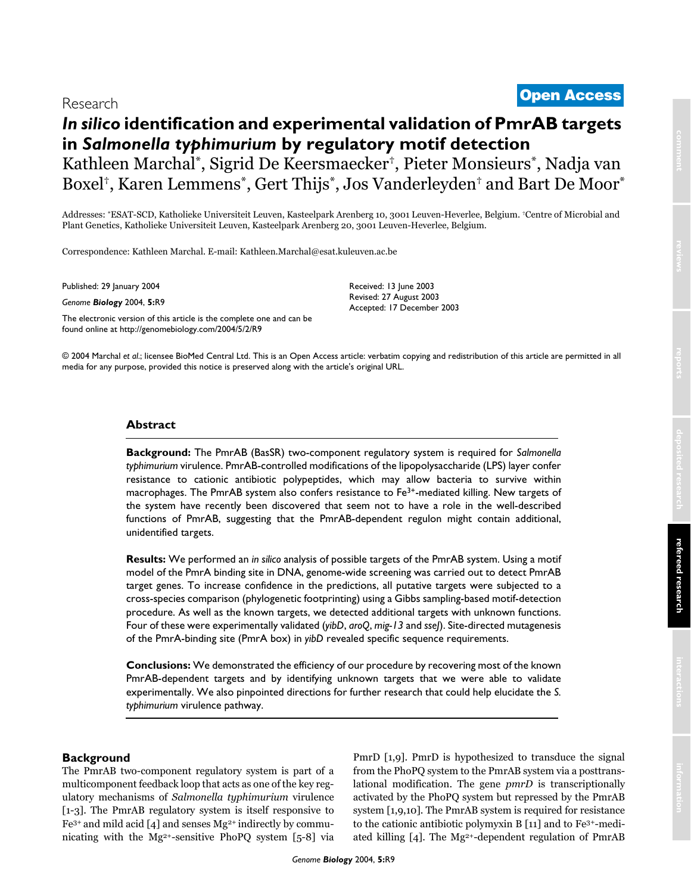## *In silico* **identification and experimental validation of PmrAB targets in** *Salmonella typhimurium* **by regulatory motif detection** Kathleen Marchal\*, Sigrid De Keersmaecker†, Pieter Monsieurs\*, Nadja van

Boxel†, Karen Lemmens\*, Gert Thijs\*, Jos Vanderleyden† and Bart De Moor\*

Addresses: \*ESAT-SCD, Katholieke Universiteit Leuven, Kasteelpark Arenberg 10, 3001 Leuven-Heverlee, Belgium. †Centre of Microbial and Plant Genetics, Katholieke Universiteit Leuven, Kasteelpark Arenberg 20, 3001 Leuven-Heverlee, Belgium.

Correspondence: Kathleen Marchal. E-mail: Kathleen.Marchal@esat.kuleuven.ac.be

Published: 29 January 2004

*Genome Biology* 2004, **5:**R9

[The electronic version of this article is the complete one and can be](http://genomebiology.com/2004/5/2/R9)  found online at http://genomebiology.com/2004/5/2/R9

Received: 13 June 2003 Revised: 27 August 2003 Accepted: 17 December 2003

© 2004 Marchal *et al*.; licensee BioMed Central Ltd. This is an Open Access article: verbatim copying and redistribution of this article are permitted in all media for any purpose, provided this notice is preserved along with the article's original URL.

## **Abstract**

**Background:** The PmrAB (BasSR) two-component regulatory system is required for *Salmonella typhimurium* virulence. PmrAB-controlled modifications of the lipopolysaccharide (LPS) layer confer resistance to cationic antibiotic polypeptides, which may allow bacteria to survive within macrophages. The PmrAB system also confers resistance to Fe<sup>3+</sup>-mediated killing. New targets of the system have recently been discovered that seem not to have a role in the well-described functions of PmrAB, suggesting that the PmrAB-dependent regulon might contain additional, unidentified targets.

**Results:** We performed an *in silico* analysis of possible targets of the PmrAB system. Using a motif model of the PmrA binding site in DNA, genome-wide screening was carried out to detect PmrAB target genes. To increase confidence in the predictions, all putative targets were subjected to a cross-species comparison (phylogenetic footprinting) using a Gibbs sampling-based motif-detection procedure. As well as the known targets, we detected additional targets with unknown functions. Four of these were experimentally validated (*yibD*, *aroQ*, *mig-13* and *sseJ*). Site-directed mutagenesis of the PmrA-binding site (PmrA box) in *yibD* revealed specific sequence requirements.

**Conclusions:** We demonstrated the efficiency of our procedure by recovering most of the known PmrAB-dependent targets and by identifying unknown targets that we were able to validate experimentally. We also pinpointed directions for further research that could help elucidate the *S. typhimurium* virulence pathway.

## **Background**

The PmrAB two-component regulatory system is part of a multicomponent feedback loop that acts as one of the key regulatory mechanisms of *Salmonella typhimurium* virulence [1-[3\]](#page-18-0). The PmrAB regulatory system is itself responsive to  $Fe<sup>3+</sup>$  and mild acid [4] and senses Mg<sup>2+</sup> indirectly by communicating with the Mg2+-sensitive PhoPQ system [[5-](#page-18-1)8] via PmrD [1,9]. PmrD is hypothesized to transduce the signal from the PhoPQ system to the PmrAB system via a posttranslational modification. The gene *pmrD* is transcriptionally activated by the PhoPQ system but repressed by the PmrAB system [1,9,[10](#page-18-2)]. The PmrAB system is required for resistance to the cationic antibiotic polymyxin B [[11](#page-18-3)] and to Fe3+-mediated killing  $[4]$ . The Mg<sup>2+</sup>-dependent regulation of PmrAB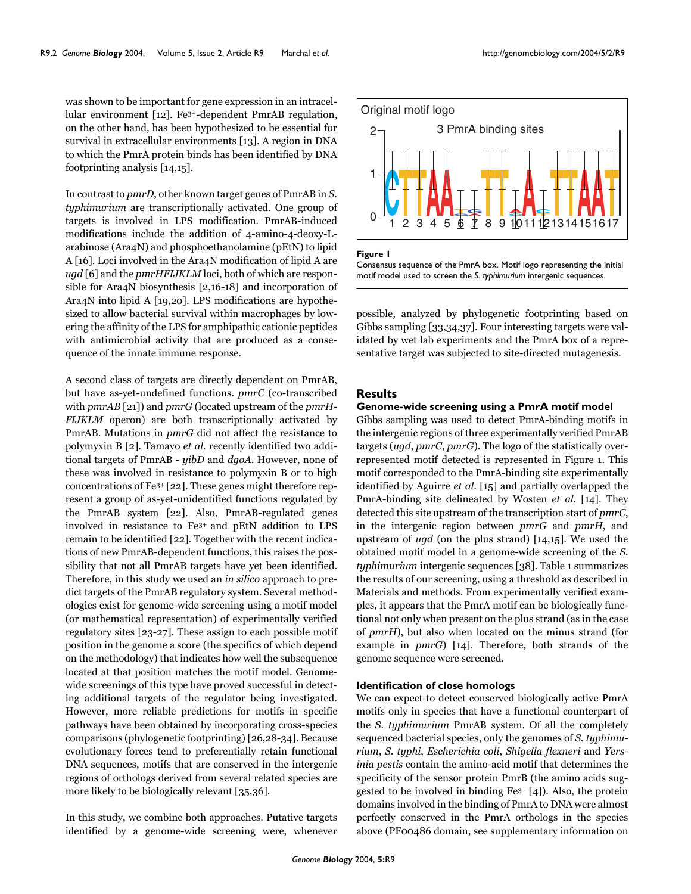was shown to be important for gene expression in an intracellular environment [\[12](#page-18-4)]. Fe3+-dependent PmrAB regulation, on the other hand, has been hypothesized to be essential for survival in extracellular environments [13]. A region in DNA to which the PmrA protein binds has been identified by DNA footprinting analysis [14,[15](#page-18-5)].

In contrast to *pmrD*, other known target genes of PmrAB in *S. typhimurium* are transcriptionally activated. One group of targets is involved in LPS modification. PmrAB-induced modifications include the addition of 4-amino-4-deoxy-Larabinose (Ara4N) and phosphoethanolamine (pEtN) to lipid A [[16](#page-18-6)]. Loci involved in the Ara4N modification of lipid A are *ugd* [6] and the *pmrHFIJKLM* loci, both of which are responsible for Ara4N biosynthesis [[2,](#page-18-7)[16](#page-18-6)[-18](#page-18-8)] and incorporation of Ara4N into lipid A [\[19](#page-18-9)[,20\]](#page-18-10). LPS modifications are hypothesized to allow bacterial survival within macrophages by lowering the affinity of the LPS for amphipathic cationic peptides with antimicrobial activity that are produced as a consequence of the innate immune response.

A second class of targets are directly dependent on PmrAB, but have as-yet-undefined functions. *pmrC* (co-transcribed with *pmrAB* [\[21](#page-18-11)]) and *pmrG* (located upstream of the *pmrH-FIJKLM* operon) are both transcriptionally activated by PmrAB. Mutations in *pmrG* did not affect the resistance to polymyxin B [\[2](#page-18-7)]. Tamayo *et al.* recently identified two additional targets of PmrAB - *yibD* and *dgoA*. However, none of these was involved in resistance to polymyxin B or to high concentrations of Fe3+ [[22\]](#page-18-12). These genes might therefore represent a group of as-yet-unidentified functions regulated by the PmrAB system [[22\]](#page-18-12). Also, PmrAB-regulated genes involved in resistance to Fe3+ and pEtN addition to LPS remain to be identified [[22\]](#page-18-12). Together with the recent indications of new PmrAB-dependent functions, this raises the possibility that not all PmrAB targets have yet been identified. Therefore, in this study we used an *in silico* approach to predict targets of the PmrAB regulatory system. Several methodologies exist for genome-wide screening using a motif model (or mathematical representation) of experimentally verified regulatory sites [23[-27](#page-18-13)]. These assign to each possible motif position in the genome a score (the specifics of which depend on the methodology) that indicates how well the subsequence located at that position matches the motif model. Genomewide screenings of this type have proved successful in detecting additional targets of the regulator being investigated. However, more reliable predictions for motifs in specific pathways have been obtained by incorporating cross-species comparisons (phylogenetic footprinting) [26,28-34]. Because evolutionary forces tend to preferentially retain functional DNA sequences, motifs that are conserved in the intergenic regions of orthologs derived from several related species are more likely to be biologically relevant [35,36].

In this study, we combine both approaches. Putative targets identified by a genome-wide screening were, whenever



#### **Figure 1**

Consensus sequence of the PmrA box. Motif logo representing the initial motif model used to screen the *S. typhimurium* intergenic sequences.

possible, analyzed by phylogenetic footprinting based on Gibbs sampling [33,34,37]. Four interesting targets were validated by wet lab experiments and the PmrA box of a representative target was subjected to site-directed mutagenesis.

## **Results**

#### **Genome-wide screening using a PmrA motif model**

Gibbs sampling was used to detect PmrA-binding motifs in the intergenic regions of three experimentally verified PmrAB targets (*ugd*, *pmrC*, *pmrG*). The logo of the statistically overrepresented motif detected is represented in Figure 1. This motif corresponded to the PmrA-binding site experimentally identified by Aguirre *et al*. [[15](#page-18-5)] and partially overlapped the PmrA-binding site delineated by Wosten *et al*. [14]. They detected this site upstream of the transcription start of *pmrC*, in the intergenic region between *pmrG* and *pmrH*, and upstream of *ugd* (on the plus strand) [14,[15](#page-18-5)]. We used the obtained motif model in a genome-wide screening of the *S. typhimurium* intergenic sequences [\[38\]](#page-19-0). Table 1 summarizes the results of our screening, using a threshold as described in Materials and methods. From experimentally verified examples, it appears that the PmrA motif can be biologically functional not only when present on the plus strand (as in the case of *pmrH*), but also when located on the minus strand (for example in *pmrG*) [14]. Therefore, both strands of the genome sequence were screened.

#### **Identification of close homologs**

We can expect to detect conserved biologically active PmrA motifs only in species that have a functional counterpart of the *S. typhimurium* PmrAB system. Of all the completely sequenced bacterial species, only the genomes of *S. typhimurium*, *S. typhi*, *Escherichia coli*, *Shigella flexneri* and *Yersinia pestis* contain the amino-acid motif that determines the specificity of the sensor protein PmrB (the amino acids suggested to be involved in binding Fe3+ [4]). Also, the protein domains involved in the binding of PmrA to DNA were almost perfectly conserved in the PmrA orthologs in the species above (PF00486 domain, see supplementary information on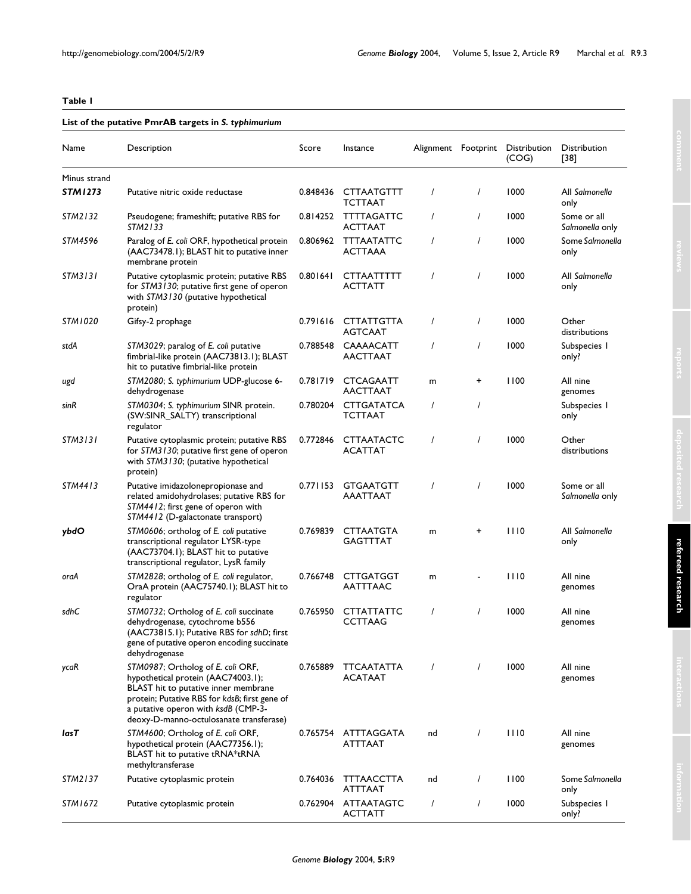## **Table 1**

## **List of the putative PmrAB targets in** *S. typhimurium*

| Name           | Description                                                                                                                                                                                                                                        | Score    | Instance                            | Alignment Footprint |           | Distribution<br>(COG) | Distribution<br>[38]           |
|----------------|----------------------------------------------------------------------------------------------------------------------------------------------------------------------------------------------------------------------------------------------------|----------|-------------------------------------|---------------------|-----------|-----------------------|--------------------------------|
| Minus strand   |                                                                                                                                                                                                                                                    |          |                                     |                     |           |                       |                                |
| <b>STM1273</b> | Putative nitric oxide reductase                                                                                                                                                                                                                    | 0.848436 | <b>CTTAATGTTT</b><br>TCTTAAT        | $\prime$            | $\prime$  | 1000                  | All Salmonella<br>only         |
| STM2132        | Pseudogene; frameshift; putative RBS for<br>STM2133                                                                                                                                                                                                | 0.814252 | TTTTAGATTC<br><b>ACTTAAT</b>        | $\prime$            | $\prime$  | 1000                  | Some or all<br>Salmonella only |
| STM4596        | Paralog of E. coli ORF, hypothetical protein<br>(AAC73478.1); BLAST hit to putative inner<br>membrane protein                                                                                                                                      | 0.806962 | <b>TTTAATATTC</b><br><b>ACTTAAA</b> | $\prime$            | $\prime$  | 1000                  | Some Salmonella<br>only        |
| STM3131        | Putative cytoplasmic protein; putative RBS<br>for STM3130; putative first gene of operon<br>with STM3130 (putative hypothetical<br>protein)                                                                                                        | 0.801641 | <b>CTTAATTTTT</b><br>ACTTATT        | $\prime$            | $\prime$  | 1000                  | All Salmonella<br>only         |
| STM1020        | Gifsy-2 prophage                                                                                                                                                                                                                                   | 0.791616 | <b>CTTATTGTTA</b><br><b>AGTCAAT</b> | $\prime$            | $\prime$  | 1000                  | Other<br>distributions         |
| stdA           | STM3029; paralog of E. coli putative<br>fimbrial-like protein (AAC73813.1); BLAST<br>hit to putative fimbrial-like protein                                                                                                                         | 0.788548 | <b>CAAAACATT</b><br>AACTTAAT        | $\prime$            | $\prime$  | 1000                  | Subspecies 1<br>only?          |
| ugd            | STM2080; S. typhimurium UDP-glucose 6-<br>dehydrogenase                                                                                                                                                                                            | 0.781719 | <b>CTCAGAATT</b><br>AACTTAAT        | m                   | $\ddot{}$ | 1100                  | All nine<br>genomes            |
| sinR           | STM0304; S. typhimurium SINR protein.<br>(SW:SINR_SALTY) transcriptional<br>regulator                                                                                                                                                              | 0.780204 | CTTGATATCA<br>TCTTAAT               | $\prime$            | $\prime$  |                       | Subspecies 1<br>only           |
| STM3131        | Putative cytoplasmic protein; putative RBS<br>for STM3130; putative first gene of operon<br>with STM3130; (putative hypothetical<br>protein)                                                                                                       | 0.772846 | <b>CTTAATACTC</b><br>ACATTAT        | $\prime$            | $\prime$  | 1000                  | Other<br>distributions         |
| STM4413        | Putative imidazolonepropionase and<br>related amidohydrolases; putative RBS for<br>STM4412; first gene of operon with<br>STM4412 (D-galactonate transport)                                                                                         | 0.771153 | <b>GTGAATGTT</b><br>AAATTAAT        | $\prime$            | $\prime$  | 1000                  | Some or all<br>Salmonella only |
| ybdO           | STM0606; ortholog of E. coli putative<br>transcriptional regulator LYSR-type<br>(AAC73704.1); BLAST hit to putative<br>transcriptional regulator, LysR family                                                                                      | 0.769839 | <b>CTTAATGTA</b><br>GAGTTTAT        | m                   | +         | 1110                  | All Salmonella<br>only         |
| oraA           | STM2828; ortholog of E. coli regulator,<br>OraA protein (AAC75740.1); BLAST hit to<br>regulator                                                                                                                                                    | 0.766748 | <b>CTTGATGGT</b><br>AATTTAAC        | m                   |           | 1110                  | All nine<br>genomes            |
| sdhC           | STM0732; Ortholog of E. coli succinate<br>dehydrogenase, cytochrome b556<br>(AAC73815.1); Putative RBS for sdhD; first<br>gene of putative operon encoding succinate<br>dehydrogenase                                                              | 0.765950 | <b>CTTATTATTC</b><br><b>CCTTAAG</b> | $\prime$            | $\prime$  | 1000                  | All nine<br>genomes            |
| ycaR           | STM0987; Ortholog of E. coli ORF,<br>hypothetical protein (AAC74003.1);<br>BLAST hit to putative inner membrane<br>protein; Putative RBS for kdsB; first gene of<br>a putative operon with ksdB (CMP-3-<br>deoxy-D-manno-octulosanate transferase) | 0.765889 | <b>TTCAATATTA</b><br><b>ACATAAT</b> | $\prime$            | $\prime$  | 1000                  | All nine<br>genomes            |
| lasT           | STM4600; Ortholog of E. coli ORF,<br>hypothetical protein (AAC77356.1);<br>BLAST hit to putative tRNA <sup>*</sup> tRNA<br>methyltransferase                                                                                                       | 0.765754 | ATTTAGGATA<br>ATTTAAT               | nd                  | $\prime$  | 1110                  | All nine<br>genomes            |
| STM2137        | Putative cytoplasmic protein                                                                                                                                                                                                                       | 0.764036 | TTTAACCTTA<br><b>ATTTAAT</b>        | nd                  | $\prime$  | 1100                  | Some Salmonella<br>only        |
| STM1672        | Putative cytoplasmic protein                                                                                                                                                                                                                       | 0.762904 | <b>ATTAATAGTC</b><br><b>ACTTATT</b> | $\prime$            | $\prime$  | 1000                  | Subspecies 1<br>only?          |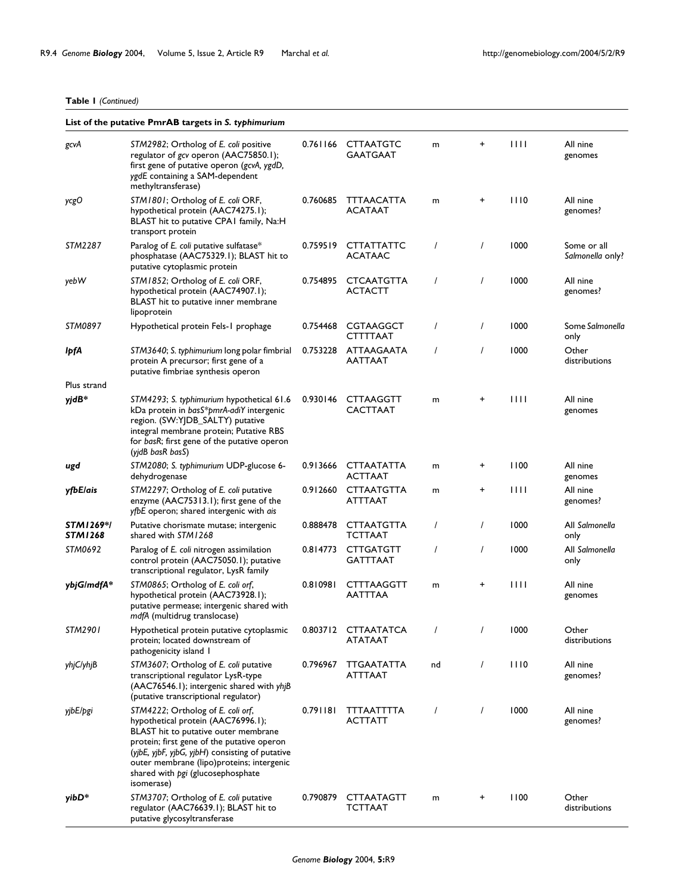|                             | List of the putative PmrAB targets in S. typhimurium                                                                                                                                                                                                                                                             |          |                                     |          |           |      |                                 |
|-----------------------------|------------------------------------------------------------------------------------------------------------------------------------------------------------------------------------------------------------------------------------------------------------------------------------------------------------------|----------|-------------------------------------|----------|-----------|------|---------------------------------|
| gcvA                        | STM2982; Ortholog of E. coli positive<br>regulator of gcv operon (AAC75850.1);<br>first gene of putative operon (gcvA, ygdD,<br>ygdE containing a SAM-dependent<br>methyltransferase)                                                                                                                            | 0.761166 | <b>CTTAATGTC</b><br><b>GAATGAAT</b> | m        | $\ddot{}$ | 1111 | All nine<br>genomes             |
| ycgO                        | STM1801; Ortholog of E. coli ORF,<br>hypothetical protein (AAC74275.1);<br>BLAST hit to putative CPAI family, Na:H<br>transport protein                                                                                                                                                                          | 0.760685 | <b>TTTAACATTA</b><br><b>ACATAAT</b> | m        | $\ddot{}$ | 1110 | All nine<br>genomes?            |
| STM2287                     | Paralog of E. coli putative sulfatase*<br>phosphatase (AAC75329.1); BLAST hit to<br>putative cytoplasmic protein                                                                                                                                                                                                 | 0.759519 | <b>CTTATTATTC</b><br><b>ACATAAC</b> | $\prime$ | $\prime$  | 1000 | Some or all<br>Salmonella only? |
| yebW                        | STM1852; Ortholog of E. coli ORF,<br>hypothetical protein (AAC74907.1);<br>BLAST hit to putative inner membrane<br>lipoprotein                                                                                                                                                                                   | 0.754895 | <b>CTCAATGTTA</b><br><b>ACTACTT</b> | $\prime$ | $\prime$  | 1000 | All nine<br>genomes?            |
| STM0897                     | Hypothetical protein Fels-1 prophage                                                                                                                                                                                                                                                                             | 0.754468 | <b>CGTAAGGCT</b><br><b>CTTTTAAT</b> | $\prime$ | $\prime$  | 1000 | Some Salmonella<br>only         |
| lpfA                        | STM3640; S. typhimurium long polar fimbrial<br>protein A precursor; first gene of a<br>putative fimbriae synthesis operon                                                                                                                                                                                        | 0.753228 | ATTAAGAATA<br>AATTAAT               | $\prime$ | $\prime$  | 1000 | Other<br>distributions          |
| Plus strand                 |                                                                                                                                                                                                                                                                                                                  |          |                                     |          |           |      |                                 |
| yjdB*                       | STM4293; S. typhimurium hypothetical 61.6<br>kDa protein in basS*pmrA-adiY intergenic<br>region. (SW:YJDB_SALTY) putative<br>integral membrane protein; Putative RBS<br>for basR; first gene of the putative operon<br>(yjdB basR basS)                                                                          | 0.930146 | <b>CTTAAGGTT</b><br><b>CACTTAAT</b> | m        | +         | 1111 | All nine<br>genomes             |
| ugd                         | STM2080; S. typhimurium UDP-glucose 6-<br>dehydrogenase                                                                                                                                                                                                                                                          | 0.913666 | <b>CTTAATATTA</b><br><b>ACTTAAT</b> | m        | +         | 1100 | All nine<br>genomes             |
| yfbE/ais                    | STM2297; Ortholog of E. coli putative<br>enzyme (AAC75313.1); first gene of the<br>yfbE operon; shared intergenic with ais                                                                                                                                                                                       | 0.912660 | <b>CTTAATGTTA</b><br>ATTTAAT        | m        | $\ddot{}$ | ШI   | All nine<br>genomes?            |
| STM1269*/<br><b>STM1268</b> | Putative chorismate mutase; intergenic<br>shared with STM1268                                                                                                                                                                                                                                                    | 0.888478 | <b>CTTAATGTTA</b><br><b>TCTTAAT</b> | $\prime$ | $\prime$  | 1000 | All Salmonella<br>only          |
| STM0692                     | Paralog of E. coli nitrogen assimilation<br>control protein (AAC75050.1); putative<br>transcriptional regulator, LysR family                                                                                                                                                                                     | 0.814773 | <b>CTTGATGTT</b><br><b>GATTTAAT</b> | $\prime$ | $\prime$  | 1000 | All Salmonella<br>only          |
| ybjG/mdfA*                  | STM0865; Ortholog of E. coli orf,<br>hypothetical protein (AAC73928.1);<br>putative permease; intergenic shared with<br>mdfA (multidrug translocase)                                                                                                                                                             | 0.810981 | <b>CTTTAAGGTT</b><br>AATTTAA        | m        | +         | 1111 | All nine<br>genomes             |
| STM2901                     | Hypothetical protein putative cytoplasmic<br>protein; located downstream of<br>pathogenicity island I                                                                                                                                                                                                            | 0.803712 | <b>CTTAATATCA</b><br><b>ATATAAT</b> |          | $\prime$  | 1000 | Other<br>distributions          |
| yhjC/yhjB                   | STM3607; Ortholog of E. coli putative<br>transcriptional regulator LysR-type<br>(AAC76546.1); intergenic shared with yhjB<br>(putative transcriptional regulator)                                                                                                                                                | 0.796967 | TTGAATATTA<br>ATTTAAT               | nd       | $\prime$  | 1110 | All nine<br>genomes?            |
| yjbE/pgi                    | STM4222; Ortholog of E. coli orf,<br>hypothetical protein (AAC76996.1);<br>BLAST hit to putative outer membrane<br>protein; first gene of the putative operon<br>(yjbE, yjbF, yjbG, yjbH) consisting of putative<br>outer membrane (lipo)proteins; intergenic<br>shared with pgi (glucosephosphate<br>isomerase) | 0.791181 | TTTAATTTTA<br><b>ACTTATT</b>        | $\prime$ | $\prime$  | 1000 | All nine<br>genomes?            |
| yibD*                       | STM3707; Ortholog of E. coli putative<br>regulator (AAC76639.1); BLAST hit to<br>putative glycosyltransferase                                                                                                                                                                                                    | 0.790879 | <b>CTTAATAGTT</b><br><b>TCTTAAT</b> | m        | +         | 1100 | Other<br>distributions          |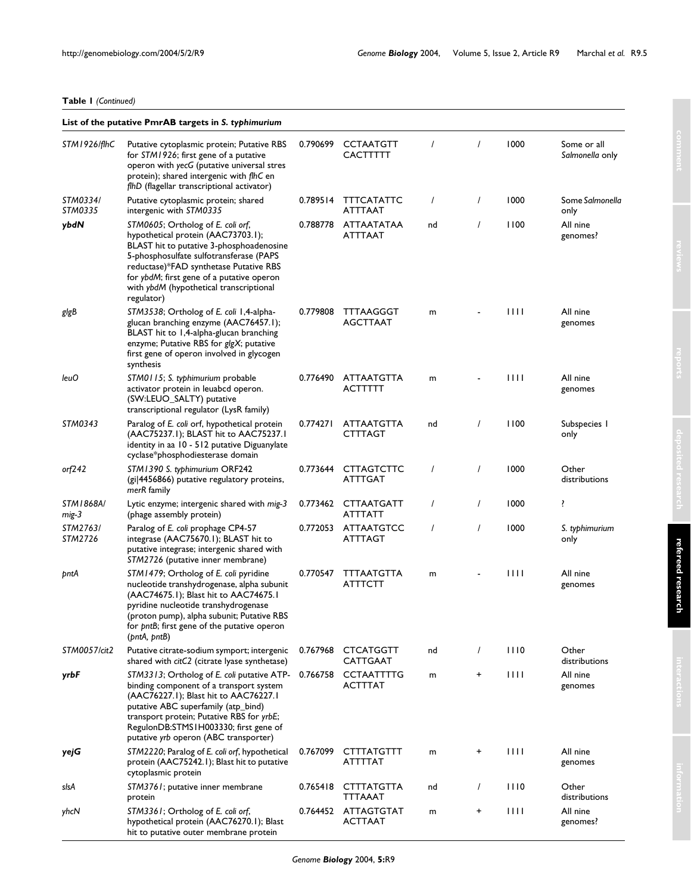| STM1926/flhC        | Putative cytoplasmic protein; Putative RBS<br>for STM1926; first gene of a putative<br>operon with yecG (putative universal stres<br>protein); shared intergenic with flhC en<br>flhD (flagellar transcriptional activator)                                                                                    | 0.790699 | <b>CCTAATGTT</b><br>CACTTTTT          |                | $\prime$ | 1000 | Some or all<br>Salmonella only |
|---------------------|----------------------------------------------------------------------------------------------------------------------------------------------------------------------------------------------------------------------------------------------------------------------------------------------------------------|----------|---------------------------------------|----------------|----------|------|--------------------------------|
| STM0334/<br>STM0335 | Putative cytoplasmic protein; shared<br>intergenic with STM0335                                                                                                                                                                                                                                                | 0.789514 | <b>TTTCATATTC</b><br><b>ATTTAAT</b>   | $\overline{I}$ | $\prime$ | 1000 | Some Salmonella<br>only        |
| ybdN                | STM0605; Ortholog of E. coli orf,<br>hypothetical protein (AAC73703.1);<br>BLAST hit to putative 3-phosphoadenosine<br>5-phosphosulfate sulfotransferase (PAPS<br>reductase)*FAD synthetase Putative RBS<br>for ybdM; first gene of a putative operon<br>with ybdM (hypothetical transcriptional<br>regulator) | 0.788778 | <b>ATTAATATAA</b><br><b>ATTTAAT</b>   | nd             | $\prime$ | 1100 | All nine<br>genomes?           |
| glgB                | STM3538; Ortholog of E. coli 1,4-alpha-<br>glucan branching enzyme (AAC76457.1);<br>BLAST hit to 1,4-alpha-glucan branching<br>enzyme; Putative RBS for glgX; putative<br>first gene of operon involved in glycogen<br>synthesis                                                                               | 0.779808 | TTTAAGGGT<br>AGCTTAAT                 | m              |          | 1111 | All nine<br>genomes            |
| leuO                | STM0115; S. typhimurium probable<br>activator protein in leuabcd operon.<br>(SW:LEUO_SALTY) putative<br>transcriptional regulator (LysR family)                                                                                                                                                                | 0.776490 | ATTAATGTTA<br>ACTTTTT                 | m              |          | 1111 | All nine<br>genomes            |
| STM0343             | Paralog of E. coli orf, hypothetical protein<br>(AAC75237.1); BLAST hit to AAC75237.1<br>identity in aa 10 - 512 putative Diguanylate<br>cyclase*phosphodiesterase domain                                                                                                                                      | 0.774271 | <b>ATTAATGTTA</b><br>CTTTAGT          | nd             | 1        | 1100 | Subspecies 1<br>only           |
| orf242              | STM1390 S. typhimurium ORF242<br>(gi 4456866) putative regulatory proteins,<br>merR family                                                                                                                                                                                                                     | 0.773644 | <b>CTTAGTCTTC</b><br>ATTTGAT          | 1              | $\prime$ | 1000 | Other<br>distributions         |
| STM 1868A/<br>mig-3 | Lytic enzyme; intergenic shared with mig-3<br>(phage assembly protein)                                                                                                                                                                                                                                         | 0.773462 | <b>CTTAATGATT</b><br><b>ATTTATT</b>   | $\prime$       | $\prime$ | 1000 | ŗ                              |
| STM2763/<br>STM2726 | Paralog of E. coli prophage CP4-57<br>integrase (AAC75670.1); BLAST hit to<br>putative integrase; intergenic shared with<br>STM2726 (putative inner membrane)                                                                                                                                                  | 0.772053 | <b>ATTAATGTCC</b><br>ATTTAGT          | $\prime$       | $\prime$ | 1000 | S. typhimurium<br>only         |
| pntA                | STM1479; Ortholog of E. coli pyridine<br>nucleotide transhydrogenase, alpha subunit<br>(AAC74675.1); Blast hit to AAC74675.1<br>pyridine nucleotide transhydrogenase<br>(proton pump), alpha subunit; Putative RBS<br>for pntB; first gene of the putative operon<br>(pntA, pntB)                              | 0.770547 | TTTAATGTTA<br><b>ATTTCTT</b>          | m              |          | 1111 | All nine<br>genomes            |
| STM0057/cit2        | Putative citrate-sodium symport; intergenic<br>shared with citC2 (citrate lyase synthetase)                                                                                                                                                                                                                    | 0.767968 | <b>CTCATGGTT</b><br>CATTGAAT          | nd             | $\prime$ | 1110 | Other<br>distributions         |
| yrbF                | STM3313; Ortholog of E. coli putative ATP- 0.766758<br>binding component of a transport system<br>(AAC76227.1); Blast hit to AAC76227.1<br>putative ABC superfamily (atp_bind)<br>transport protein; Putative RBS for yrbE;<br>RegulonDB:STMS1H003330; first gene of<br>putative yrb operon (ABC transporter)  |          | <b>CCTAATTTTG</b><br><b>ACTTTAT</b>   | m              | +        | 1111 | All nine<br>genomes            |
| yejG                | STM2220; Paralog of E. coli orf, hypothetical<br>protein (AAC75242.1); Blast hit to putative<br>cytoplasmic protein                                                                                                                                                                                            | 0.767099 | <b>CTTTATGTTT</b><br><b>ATTTTAT</b>   | m              | +        | 1111 | All nine<br>genomes            |
| slsA                | STM3761; putative inner membrane<br>protein                                                                                                                                                                                                                                                                    | 0.765418 | <b>CTTTATGTTA</b><br>TTTAAAT          | nd             | $\prime$ | 1110 | Other<br>distributions         |
| yhcN                | STM3361; Ortholog of E. coli orf,<br>hypothetical protein (AAC76270.1); Blast<br>hit to putative outer membrane protein                                                                                                                                                                                        |          | 0.764452 ATTAGTGTAT<br><b>ACTTAAT</b> | m              | +        | 1111 | All nine<br>genomes?           |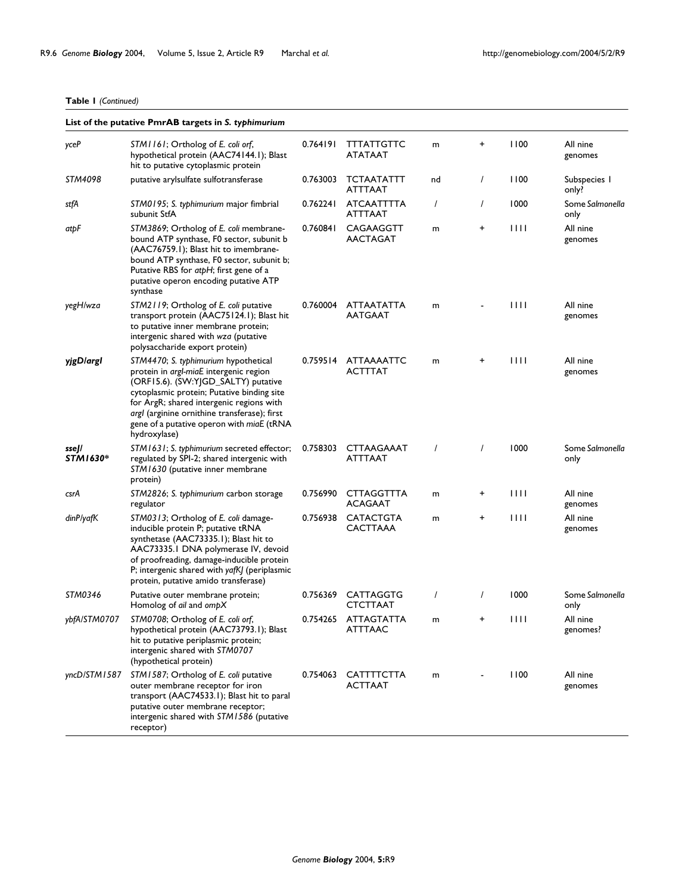|                   | List of the putative PmrAB targets in S. typhimurium                                                                                                                                                                                                                                                                         |          |                                       |          |          |      |                         |
|-------------------|------------------------------------------------------------------------------------------------------------------------------------------------------------------------------------------------------------------------------------------------------------------------------------------------------------------------------|----------|---------------------------------------|----------|----------|------|-------------------------|
| yceP              | STM I 161; Ortholog of E. coli orf,<br>hypothetical protein (AAC74144.1); Blast<br>hit to putative cytoplasmic protein                                                                                                                                                                                                       | 0.764191 | TTTATTGTTC<br><b>ATATAAT</b>          | m        | +        | 1100 | All nine<br>genomes     |
| STM4098           | putative arylsulfate sulfotransferase                                                                                                                                                                                                                                                                                        | 0.763003 | <b>TCTAATATTT</b><br>ATTTAAT          | nd       | I        | 1100 | Subspecies 1<br>only?   |
| stfA              | STM0195; S. typhimurium major fimbrial<br>subunit StfA                                                                                                                                                                                                                                                                       | 0.762241 | <b>ATCAATTTTA</b><br>ATTTAAT          | $\prime$ | $\prime$ | 1000 | Some Salmonella<br>only |
| atþŀ              | STM3869; Ortholog of E. coli membrane-<br>bound ATP synthase, F0 sector, subunit b<br>(AAC76759.1); Blast hit to imembrane-<br>bound ATP synthase, F0 sector, subunit b;<br>Putative RBS for atpH; first gene of a<br>putative operon encoding putative ATP<br>synthase                                                      | 0.760841 | CAGAAGGTT<br><b>AACTAGAT</b>          | m        | +        | 1111 | All nine<br>genomes     |
| yegH/wza          | STM2119; Ortholog of E. coli putative<br>transport protein (AAC75124.1); Blast hit<br>to putative inner membrane protein;<br>intergenic shared with wza (putative<br>polysaccharide export protein)                                                                                                                          | 0.760004 | ATTAATATTA<br>AATGAAT                 | m        |          | ШI   | All nine<br>genomes     |
| yjgD/argl         | STM4470; S. typhimurium hypothetical<br>protein in argl-miaE intergenic region<br>(ORF15.6). (SW:Y GD_SALTY) putative<br>cytoplasmic protein; Putative binding site<br>for ArgR; shared intergenic regions with<br>argl (arginine ornithine transferase); first<br>gene of a putative operon with miaE (tRNA<br>hydroxylase) | 0.759514 | <b>ATTAAAATTC</b><br><b>ACTTTAT</b>   | m        | +        | ШH   | All nine<br>genomes     |
| sseJ/<br>STM1630* | STM1631; S. typhimurium secreted effector;<br>regulated by SPI-2; shared intergenic with<br>STM1630 (putative inner membrane<br>protein)                                                                                                                                                                                     | 0.758303 | <b>CTTAAGAAAT</b><br>ATTTAAT          | $\prime$ | $\prime$ | 1000 | Some Salmonella<br>only |
| csrA              | STM2826; S. typhimurium carbon storage<br>regulator                                                                                                                                                                                                                                                                          | 0.756990 | CTTAGGTTTA<br><b>ACAGAAT</b>          | m        | +        | ШH   | All nine<br>genomes     |
| dinP/yafK         | STM0313; Ortholog of E. coli damage-<br>inducible protein P; putative tRNA<br>synthetase (AAC73335.1); Blast hit to<br>AAC73335.1 DNA polymerase IV, devoid<br>of proofreading, damage-inducible protein<br>P; intergenic shared with yafKJ (periplasmic<br>protein, putative amido transferase)                             | 0.756938 | <b>CATACTGTA</b><br><b>CACTTAAA</b>   | m        | +        | ШH   | All nine<br>genomes     |
| STM0346           | Putative outer membrane protein;<br>Homolog of $ail$ and $ompX$                                                                                                                                                                                                                                                              | 0.756369 | CATTAGGTG<br><b>CTCTTAAT</b>          | $\prime$ | $\prime$ | 1000 | Some Salmonella<br>only |
| ybfA/STM0707      | STM0708; Ortholog of E. coli orf,<br>hypothetical protein (AAC73793.1); Blast<br>hit to putative periplasmic protein;<br>intergenic shared with STM0707<br>(hypothetical protein)                                                                                                                                            | 0.754265 | <b>ATTAGTATTA</b><br>ATTTAAC          | m        |          | 1111 | All nine<br>genomes?    |
| yncD/STM1587      | STM1587; Ortholog of E. coli putative<br>outer membrane receptor for iron<br>transport (AAC74533.1); Blast hit to paral<br>putative outer membrane receptor;<br>intergenic shared with STM1586 (putative<br>receptor)                                                                                                        |          | 0.754063 CATTTTCTTA<br><b>ACTTAAT</b> | m        |          | 1100 | All nine<br>genomes     |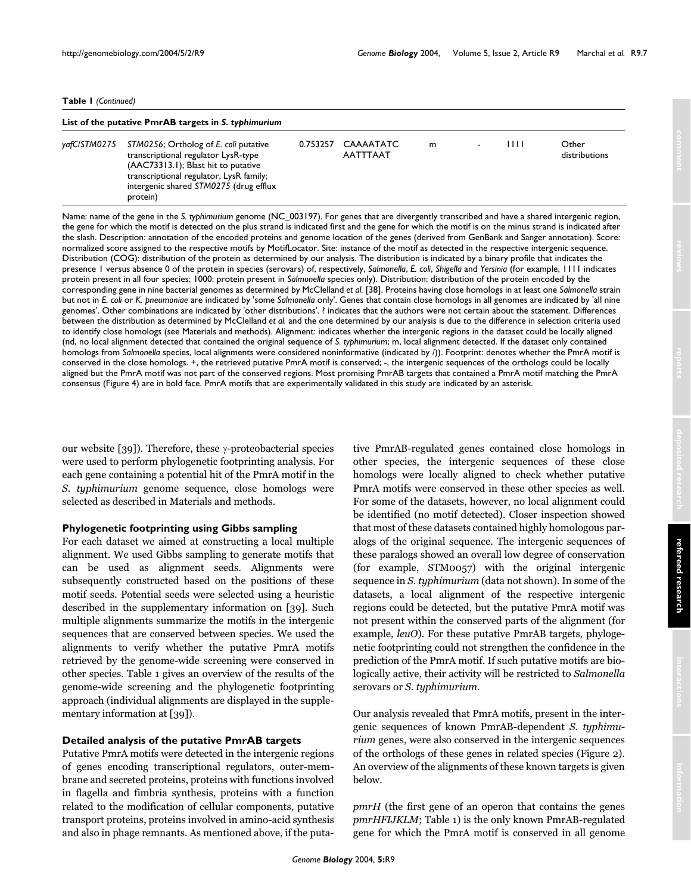| List of the putative PmrAB targets in S. typhimurium |                                                                                                                                                                                                                      |          |                       |   |   |      |                        |  |
|------------------------------------------------------|----------------------------------------------------------------------------------------------------------------------------------------------------------------------------------------------------------------------|----------|-----------------------|---|---|------|------------------------|--|
| yafC/STM0275                                         | STM0256; Ortholog of E. coli putative<br>transcriptional regulator LysR-type<br>(AAC73313.1); Blast hit to putative<br>transcriptional regulator, LysR family;<br>intergenic shared STM0275 (drug efflux<br>protein) | 0.753257 | CAAAATATC<br>AATTTAAT | m | ٠ | 1111 | Other<br>distributions |  |

Name: name of the gene in the *S. typhimurium* genome (NC\_003197). For genes that are divergently transcribed and have a shared intergenic region, the gene for which the motif is detected on the plus strand is indicated first and the gene for which the motif is on the minus strand is indicated after the slash. Description: annotation of the encoded proteins and genome location of the genes (derived from GenBank and Sanger annotation). Score: normalized score assigned to the respective motifs by MotifLocator. Site: instance of the motif as detected in the respective intergenic sequence. Distribution (COG): distribution of the protein as determined by our analysis. The distribution is indicated by a binary profile that indicates the presence 1 versus absence 0 of the protein in species (serovars) of, respectively, *Salmonella*, *E. coli*, *Shigella* and *Yersinia* (for example, 1111 indicates protein present in all four species; 1000: protein present in *Salmonella* species only). Distribution: distribution of the protein encoded by the corresponding gene in nine bacterial genomes as determined by McClelland *et al.* [[38\]](#page-19-0). Proteins having close homologs in at least one *Salmonella* strain but not in *E. coli* or *K. pneumoniae* are indicated by 'some *Salmonella* only'. Genes that contain close homologs in all genomes are indicated by 'all nine genomes'. Other combinations are indicated by 'other distributions'. ? indicates that the authors were not certain about the statement. Differences between the distribution as determined by McClelland *et al.* and the one determined by our analysis is due to the difference in selection criteria used to identify close homologs (see Materials and methods). Alignment: indicates whether the intergenic regions in the dataset could be locally aligned (nd, no local alignment detected that contained the original sequence of *S. typhimurium*; m, local alignment detected. If the dataset only contained homologs from *Salmonella* species, local alignments were considered noninformative (indicated by /)). Footprint: denotes whether the PmrA motif is conserved in the close homologs. +, the retrieved putative PmrA motif is conserved; -, the intergenic sequences of the orthologs could be locally aligned but the PmrA motif was not part of the conserved regions. Most promising PmrAB targets that contained a PmrA motif matching the PmrA consensus (Figure [4\)](#page-13-0) are in bold face. PmrA motifs that are experimentally validated in this study are indicated by an asterisk.

our website [39]). Therefore, these γ-proteobacterial species were used to perform phylogenetic footprinting analysis. For each gene containing a potential hit of the PmrA motif in the *S. typhimurium* genome sequence, close homologs were selected as described in Materials and methods.

## **Phylogenetic footprinting using Gibbs sampling**

For each dataset we aimed at constructing a local multiple alignment. We used Gibbs sampling to generate motifs that can be used as alignment seeds. Alignments were subsequently constructed based on the positions of these motif seeds. Potential seeds were selected using a heuristic described in the supplementary information on [39]. Such multiple alignments summarize the motifs in the intergenic sequences that are conserved between species. We used the alignments to verify whether the putative PmrA motifs retrieved by the genome-wide screening were conserved in other species. Table 1 gives an overview of the results of the genome-wide screening and the phylogenetic footprinting approach (individual alignments are displayed in the supplementary information at [39]).

## **Detailed analysis of the putative PmrAB targets**

Putative PmrA motifs were detected in the intergenic regions of genes encoding transcriptional regulators, outer-membrane and secreted proteins, proteins with functions involved in flagella and fimbria synthesis, proteins with a function related to the modification of cellular components, putative transport proteins, proteins involved in amino-acid synthesis and also in phage remnants. As mentioned above, if the putative PmrAB-regulated genes contained close homologs in other species, the intergenic sequences of these close homologs were locally aligned to check whether putative PmrA motifs were conserved in these other species as well. For some of the datasets, however, no local alignment could be identified (no motif detected). Closer inspection showed that most of these datasets contained highly homologous paralogs of the original sequence. The intergenic sequences of these paralogs showed an overall low degree of conservation (for example, STM0057) with the original intergenic sequence in *S. typhimurium* (data not shown). In some of the datasets, a local alignment of the respective intergenic regions could be detected, but the putative PmrA motif was not present within the conserved parts of the alignment (for example, *leuO*). For these putative PmrAB targets, phylogenetic footprinting could not strengthen the confidence in the prediction of the PmrA motif. If such putative motifs are biologically active, their activity will be restricted to *Salmonella* serovars or *S. typhimurium*.

Our analysis revealed that PmrA motifs, present in the intergenic sequences of known PmrAB-dependent *S. typhimurium* genes, were also conserved in the intergenic sequences of the orthologs of these genes in related species (Figure [2](#page-7-0)). An overview of the alignments of these known targets is given below.

*pmrH* (the first gene of an operon that contains the genes *pmrHFIJKLM*; Table 1) is the only known PmrAB-regulated gene for which the PmrA motif is conserved in all genome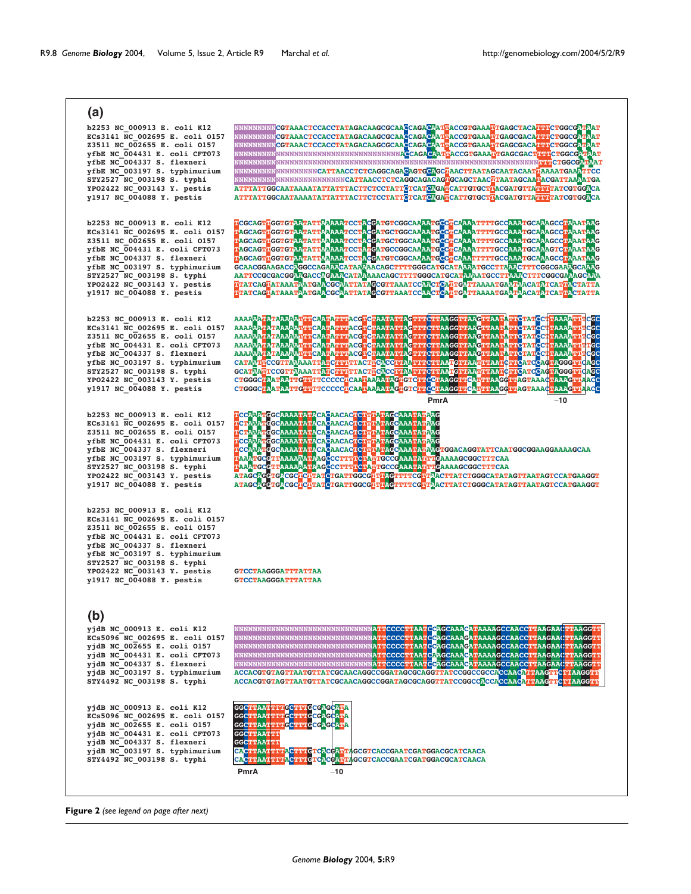# <span id="page-7-0"></span>b2253 NC\_000913 E. coli K12 MNNNNNNNNNCGTAAACTCCACCTATAGACAAGCGCAACCAGACAAT<mark>TACCGTGAAAT</mark>TGAGCTACA<mark>TTICTGGCG.That</mark><br>ZS511 NC\_002695 E. coli 0157 MNNNNNNNNCGTAAACTCCACCTATAGACAAGCGCAACCAGACAATTACCGTGAAATTGAGCGACATTICTGGCG.Tha yfbE NC\_003197 S. typhimurium NNNNNNNNNNNNNNNNNNCATTAACCTCTCAGGCAGACAGTGCAGCTAACTTAATAGCAATACAATTAAAATGAAATTCC STY2527 NC\_003198 S. typhi NNNNNNNNNNNNNNNNNNNNNNNNCATTAACCTCTCAGGCAGACAGTGCAGCTAACTTAATAGCAATACGATTAAAATGA YPO2422 NC\_003143 Y. pestis ATTTATTGGCAATAAAATATTATTTACTTCTCCTATTCTCATCAGATCATTGTGCTTACGATGTTATTTTATCGTGGACA y1917 NC\_004088 Y. pestis ATTTATTGGCAATAAAATATTATTTACTTCTCCTATTCTCATCAGATCATTGTGCTTACGATGTTATTTTATCGTGGACA b2253 NC\_000913 E. coli K12 TCGCAGTTGGTGTAATATTAAAAATCCTACGATGTCGGCAAAATGCCTCAAAATTTTGCCAAATGCAAAGCCTAAATAAG ECs3141 NC\_002695 E. coli O157 TAGCAGTTGGTGTAATATTAAAAATCCTACGATGCTGGCAAAATGCCTCAAAATTTTGCCAAATGCAAAGCCTAAATAAG Z3511 NC\_002655 E. coli O157 TAGCAGTTGGTGTAATATTAAAAATCCTACGATGCTGGCAAAATGCCTCAAAATTTTGCCAAATGCAAAGCCTAAATAAG yfbE NC\_004431 E. coli CFT073 TAGCAGTTGGTGTAATATTAAAAATCCTATGATGCCGGCAAAATGCCTCAAAATTTTGCCAAATGCAAAGTCTAAATAAG yfbE NC\_004337 S. flexneri TAGCAGTTGGTGTAATATTAAAAATCCTACGATGTCGGCAAAATGCCTCAAATTTTTGCCAAATGCAAAGCCTAAATAAG yfbE NC\_003197 S. typhimurium GCAACGGAAGACCAGGCCAGAAACATAAAAACAGCTTTTGGGCATGCATAAAATGCCTTAAACTTTCGGCGAAAGCAAAG STY2527 NC\_003198 S. typhi AATTCCGCGACGGAAGACCAGAAACATAAAAACAGCTTTTGGGCATGCATAAAATGCCTTAAACTTTCGGCGAAAGCAAA YPO2422 NC\_003143 Y. pestis TTATCAGTATAAATAATGAACGCAATTATAGCGTTAAATCCAACTCATTGATTAAAATGAATAACATATCATTACTATTA y1917 NC\_004088 Y. pestis TTATCAGTATAAATAATGAACGCAATTATAGCGTTAAATCCAACTCATTGATTAAAATGAATAACATATCATTACTATTA b2253 NC\_000913 E. coli K12 AAAAAATATAAAAATTTCAATATTTACGTCTAATATTAGTTTCTTAAGGTTAAGTTAATATTCTATCCTTAAAATTTCGC ECs3141 NC\_002695 E. coli O157 AAAAAATATAAAAATTTCAATATTTACGTCTAATATTAGTTTCTTAAGGTTAAGTTAATATTCTATCCTTAAAATTTCGC Z3511 NC\_002655 E. coli O157 AAAAAATATAAAAATTTCAATATTTACGTCTAATATTAGTTTCTTAAGGTTAAGTTAATATTCTATCCTTAAAATTTCGC yfbE NC\_004431 E. coli CFT073 AAAAAATATAAAAATTTCAATATTTACGTCTAATATTAGTTTCTTAAGGTTAAGTTAATATTCTATCCTTAAAATTTTGC yfbE NC\_004337 S. flexneri AAAAAATATAAAAATTTCAATATTTACGTCTAATATTAGTTTCTTAAGGTTAAGTTAATATTCTATCCTTAAAATTTCGC yfbE NC\_003197 S. typhimurium CATAATTCCGTTAAAAATTATCTTTTTACTTCACCTTAATTTCTTAATGTTAATTTAATCTTCATCCAGTAGGGTTCAGC STY2527 NC\_003198 S. typhi GCATAATTCCGTTAAAATTATCTTTTTACTTCACCTTAATTTCTTAATGTTAATTTAATCTTCATCCAGTAGGGTTCAGC YPO2422 NC\_003143 Y. pestis CTGGGCTAATAATTGTTTTCCCCCTCAATAAAATAGTGTCTTCCTAAGGTTCATTTAAGGTTAGTAAACTAAAGTTAACC y1917 NC\_004088 Y. pestis CTGGGCTAATAATTGTTTTCCCCCTCAATAAAATAGTGTCTTCCTAAGGTTCATTTAAGGTTAGTAAACTAAAGTTAACC b2253 NC\_000913 E. coli K12 TCCAARTEGCAAAATATACACAACACTCTTRAAGCAAATATAC<br>ECS3141 NC\_002655 E. coli 0157 TCCAARTEGCAAAATATACACAACACTCTTRATACAGAAATATAC<br>Z3511 NC\_002655 E. coli 0157 TCCAARTATACACAACACTCTTRATACACAAATATACA<br>YfbE b2253 NC\_000913 E. coli K12 ECs3141 NC 002695 E. coli 0157 Z3511 NC 002655 E. coli 0157 yfbE NC\_004431 E. coli CFT073 yfbE NC\_004337 S. flexneri yfbE NC\_003197 S. typhimurium STY2527 NC\_003198 S. typhi YPO2422 NC\_003143 Y. pestis GTCCTAAGGGATTTATTAA y1917 NC 004088 Y. pestis GTCCTAAGGGATTTATTAA **PmrA** −**10** yjdB NC\_000913 E. coli K12 MNNNNNNNNNNNNNNNNNNNNNNNNNNNNNNNNNNNATTCCCCTTAATCCGCCAAACATAAAAGCCAACCTTAAGAACTTAAGGTT<br>ECS5096 NC\_002695 E. coli 0157 MNNNNNNNNNNNNNNNNNNNNNNNNNNNNNNNATTCCCCTTAATCCGGCAAACATAAAAGCCAACCTTAAGAACTTA yjdB NC\_000913 E. coli K12 GGCTTAATTTTGCTTTGCGAGGAGCAGE<br>ECS5096 NC\_002695 E. coli 0157 GGCTTAATTTTGCTTTGCGAGG  $\overline{ECs}$ 5096 NC 002695 E. coli 0157 GGC  $y$ jdB NC\_00 $\overline{2}$ 655 E. coli 0157 GGC yjdB NC\_004431 E. coli CFT073 GGCTTAATTT<br>vidB NC\_004337 S. flexneri GGCTTAATTT yjdB NC\_004337 S. flexneri GGCTTAATTT yjdB NC\_003197 S. typhimurium CACTTAATTTTACTTTGTCACGATTAGCGTCACCGAATCGATGGACGCATCAACA TT<mark>ACTTTGTCACGATTA</mark>GCGTCACCGAATCGATGGACGCATCAACA **PmrA** −**10 (a) (b)**

#### **Figure 2** *(see legend on page after next)*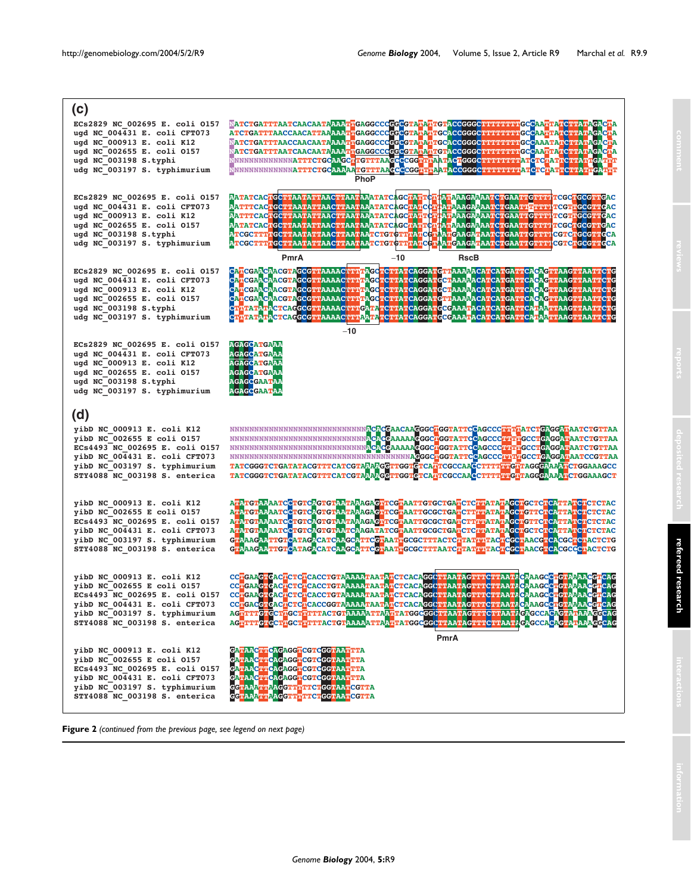| (c)                                                                                                                                                                                           |                                                                                                                                                                                                                                                                                                                                                                                                                                                                                                                    |
|-----------------------------------------------------------------------------------------------------------------------------------------------------------------------------------------------|--------------------------------------------------------------------------------------------------------------------------------------------------------------------------------------------------------------------------------------------------------------------------------------------------------------------------------------------------------------------------------------------------------------------------------------------------------------------------------------------------------------------|
| ECs2829 NC 002695 E. coli 0157<br>ugd NC 004431 E. coli CFT073<br>ugd NC 000913 E. coli K12<br>ugd NC 002655 E. coli 0157<br>ugd NC 003198 S.typhi<br>udg NC 003197 S. typhimurium            | PhoP                                                                                                                                                                                                                                                                                                                                                                                                                                                                                                               |
| ECs2829 NC 002695 E. coli 0157<br>ugd NC 004431 E. coli CFT073<br>ugd NC 000913 E. coli K12<br>ugd NC 002655 E. coli 0157<br>uqd NC 003198 S.typhi<br>udg NC 003197 S. typhimurium            | ARTTICACTGCTTAATATTAACTTAATAAATATCAGCTATTCTAATAAAGAAAATCTGAATTGTTTTCCTTGCGTTGAC<br>AATATCACTGCTTAATATTAACTTAATAAATATCAGCTATTCTAATAAAGAAAATCTGAATTGTTTTTCGCTGCGTTGAC<br>ATATCACTGCTTAATATTAACTTAATAAFACTGTGTTTAATCAGCTAATAATCAAATTCTT                                                                                                                                                                                                                                                                               |
|                                                                                                                                                                                               | $-10$<br>PmrA<br><b>RscB</b>                                                                                                                                                                                                                                                                                                                                                                                                                                                                                       |
| ECs2829 NC 002695 E. coli 0157<br>ugd NC 004431 E. coli CFT073<br>ugd NC 000913 E. coli K12<br>ugd NC 002655 E. coli 0157<br>ugd NC 003198 S.typhi<br>udg NC 003197 S. typhimurium            | CA <mark>T</mark> CGAACAACCTTAGCGTTAAAAC!TTTAGCTCTTATCAGGATGCTAAAAACATCATGATTCACAGTTAAGTTAATTCTG<br>C <mark>an</mark> CGAACARCGTAGCGTTAAAAC'TTT <mark>TAGCT</mark> CTTATCAGGATG <mark>TTAAAA</mark> ACATCATGATTCACAGTTAAGTTAATTCTG<br>CT <mark>TTATATACTCAGGCGTTAAAAC'TTTGATA</mark> TCTTATCAGGATG <mark>CGAAAT</mark> ACATCATGATTCATAATAATTAAGTTAATTCTG<br>$-10$                                                                                                                                                  |
|                                                                                                                                                                                               | <b>AGAGCATGAAA</b>                                                                                                                                                                                                                                                                                                                                                                                                                                                                                                 |
| ECs2829 NC 002695 E. coli 0157<br>ugd NC 004431 E. coli CFT073<br>ugd NC 000913 E. coli K12<br>ugd NC 002655 E. coli 0157<br>ugd NC 003198 S.typhi<br>udg NC 003197 S. typhimurium            | <b>AGAGC TREAA</b><br><b>AGAGCATGAAA</b><br>AGAGCATGAAA<br><b>AGAGCGAATAA</b><br><b>AGAGCGAATAA</b>                                                                                                                                                                                                                                                                                                                                                                                                                |
| (d)                                                                                                                                                                                           |                                                                                                                                                                                                                                                                                                                                                                                                                                                                                                                    |
| yibD NC 000913 E. coli K12<br>yibD NC 002655 E coli 0157<br>ECs4493 NC 002695 E. coli 0157<br>yibD NC 004431 E. coli CFT073<br>yibD NC 003197 S. typhimurium<br>STY4088 NC 003198 S. enterica | NNNNNNNNNNNNNNNNNNNNNNNNNNNNN <mark>PCP</mark> CGAACAAGGGCP <mark>GGTATTCGAGCCCPTPTP</mark> ATCTGAGGATAATCTGTTAA<br>NNNNNNNNNNNNNNNNNNNNNNNNNNNNNNND <mark>PCP</mark> CGAAAAAGGGCPGGTATTCCAGCCCPTPTP<br>NNNNNNNNNNNNNNNNNNNNNNNNNNNN <mark>ACACCAAAAAC</mark> GGCT <mark>TGGTATTCCAGCCCTTTAC</mark> GCCTGTTAA<br>TATCGGGTCTGATATACGTTTCATCGTA <mark>AAGGTTGGTGTCAT</mark> TCGCCAA <mark>C</mark> CTTTTTTTTGAAAAGCC<br>TATCGGGTCTGATATACGTTTCATCGTAAACGTTGCTGTCATCTCATCCCCAACCTTTTTTTGTGTTAGGGAAAATCTGGAAAGCT       |
| yibD NC 000913 E. coli K12<br>yibD NC 002655 E coli 0157<br>ECs4493 NC 002695 E. coli 0157<br>yibD NC 004431 E. coli CFT073<br>yibD NC 003197 S. typhimurium<br>STY4088 NC 003198 S. enterica | A <mark>TATGTAAAATCCTGTCAGTGTAATAAAGAGT</mark> TCG <mark>T</mark> AATTGTGCTGA <mark>T</mark> CTC <mark>TTATATAGCT</mark> GCTCTCTTATCTCTCTAC<br>A <mark>TATGTAAAATCCTGTCAGTGTAA</mark> TCAAGATATCG <mark>T</mark> AATTGCGCTGA <mark>T</mark> CTC <mark>TTATAT</mark> AGCTGTCATTATCTCTCTCTCT<br>G <mark>TAAAGAATTGTCATAGACATCAAGCA</mark> TTCGTAAT <mark>T</mark> GCGCTTTACTCTTATTTLTAC <mark>TCGCT</mark> AACGTCACGCTCTACTCTG<br>GTAAAGAATTGTCATAGACATCAAGCATTCGTAATTGCGCTTTAATCTTTATCTTTACTCGCCAACGTCACGCCCTACTCTG |
| yibD NC 000913 E. coli K12<br>yibD NC 002655 E coli 0157<br>ECs4493 NC 002695 E. coli 0157<br>yibD NC_004431 E. coli CFT073<br>yibD NC_003197 S. typhimurium<br>STY4088 NC 003198 S. enterica | CC <mark>TGAAGTGACTCTCTCACCTGTAAAAATAATAT</mark> CTCACAGGCTTAATAGTTTCTTAATA <mark>CAAAGCCTGTAAAACGTCAC</mark><br>CCTGAAGTGACTCTCTCACCTGTAAAAATAATATCTCACAGGCTTAATAGTTTCTTAATACAAGCCTGTAAAACGTCAC<br>CCTGAAGTGACTCTCTCACCTGTAAAAATAATATCTCACAGGCTTAATAGTTTCTTA                                                                                                                                                                                                                                                      |
|                                                                                                                                                                                               | PmrA                                                                                                                                                                                                                                                                                                                                                                                                                                                                                                               |
| yibD NC_000913 E. coli K12<br>yibD NC 002655 E coli 0157<br>ECs4493 NC 002695 E. coli 0157<br>yibD NC 004431 E. coli CFT073<br>yibD NC 003197 S. typhimurium<br>STY4088 NC_003198 S. enterica | GA <mark>TAACTTCAGAGGT</mark> CGTCGGTAATTTA<br>GA <mark>TAACTTCAGAGGT</mark> CGTCGGTAATTTA<br>STARCALOGOS<br>G <mark>ATAACTTCAGAGGTCGTGGGTAATTTA</mark><br>GATAACTTCAGAGGTCGTGGGTAATTTA<br>GGTAAATTAAGGTTTTTCTGGTAATCGTTA<br>CGTAAATTAACGTTTTTCTGCTAATCGTTA                                                                                                                                                                                                                                                        |

**Figure 2** *(continued from the previous page, see legend on next page)*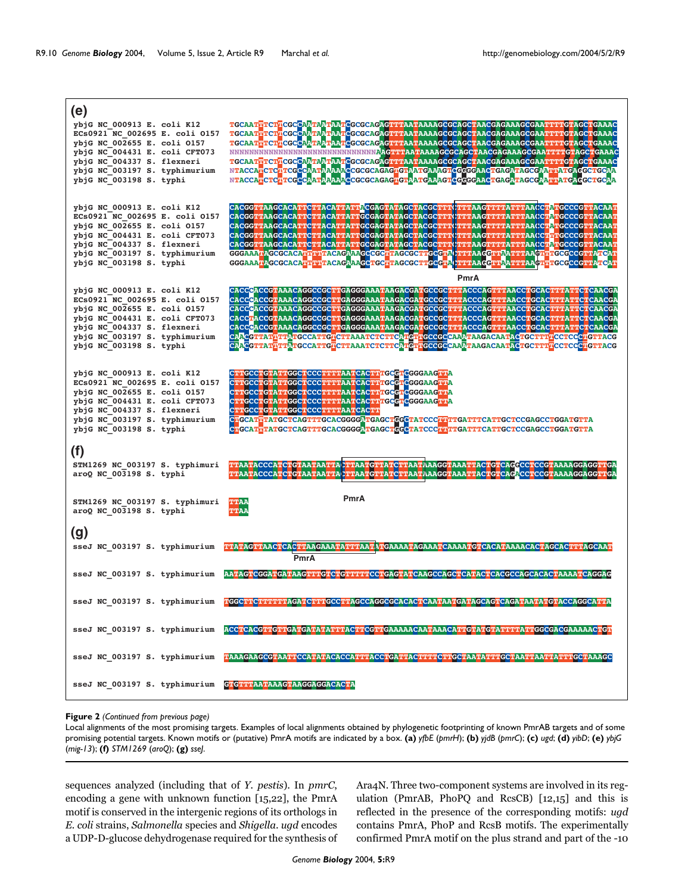| (e)                                                                                                                                                                                                                           |                                                                                                                                                                                                                                                                                                                                                                                                                                                                                                                                                                                                                                                                                    |
|-------------------------------------------------------------------------------------------------------------------------------------------------------------------------------------------------------------------------------|------------------------------------------------------------------------------------------------------------------------------------------------------------------------------------------------------------------------------------------------------------------------------------------------------------------------------------------------------------------------------------------------------------------------------------------------------------------------------------------------------------------------------------------------------------------------------------------------------------------------------------------------------------------------------------|
| ybjG NC 000913 E. coli K12<br>ECs0921 NC 002695 E. coli 0157<br>ybjG NC 002655 E. coli 0157<br>ybjG NC 004431 E. coli CFT073<br>ybjG NC 004337 S. flexneri<br>ybjG NC 003197 S. typhimurium<br>ybjG NC 003198 S. typhi        | TGCAAT <mark>TTCTT</mark> CGCCAATAATAATAATGGCGCAGAGTTTAATAAAAGCGCAGCTAACGAGAAAGCGAATTTTGTAGCTGAAAC<br>TGCAAT <mark>T</mark> TCTTCGCCAATAATAATAATGCGCGAGAGTTTAATAAAAGCGCAGCTAACGAGAAAGCGAATTTTGTAGCTGAAAC<br>TGCAAT <mark>TCCTT</mark> CGCCAATAATAATCGCGCAGACTTTAATAAAAGCGCAGCTAACGAGAAAGCGAATTTTGTAGCTGAAAC<br>NNNNNNNNNNNNNNNNNNNNNNNNNNNNNNAR AGTTTAATAAAAGCGCAGCTAACGAGAAAGCGAATTTTGTAGCTGAAAC                                                                                                                                                                                                                                                                                  |
|                                                                                                                                                                                                                               |                                                                                                                                                                                                                                                                                                                                                                                                                                                                                                                                                                                                                                                                                    |
| ybjG NC 000913 E. coli K12<br>ECs0921 NC 002695 E. coli 0157<br>ybjG NC 002655 E. coli 0157<br>ybjG NC 004431 E. coli CFT073<br>ybjG NC 004337 S. flexneri<br>ybjG NC 003197 S. typhimurium<br>ybjG NC 003198 S. typhi        | CACGGTTAAGCACATTCTTACATTATTGCGAGTATAGCTACGCTTT(TTTAAGTTTTATTTAA(CT <mark>T</mark> TGCCCGTTACAAT<br>GGGAAA <mark>TAGCGCACATTTTACAGAAAGCGGCTTAGCGCTTGCGTA</mark> CTTTAAGCTTAATTAAGTTATGCGCCGTTATCAT<br>GGGAAA <mark>TA</mark> GCGCACATA <mark>TATACAGAAAGCTGCATAGCGCTT</mark> GCG <mark>TACTTTAAGCTAATTTAAGTTTAACTTTATCAT</mark>                                                                                                                                                                                                                                                                                                                                                     |
|                                                                                                                                                                                                                               | <b>PmrA</b>                                                                                                                                                                                                                                                                                                                                                                                                                                                                                                                                                                                                                                                                        |
| ybjG NC 000913 E. coli K12<br><b>ECs0921 NC 002695 E. coli 0157</b><br>ybjG NC 002655 E. coli 0157<br>ybjG NC 004431 E. coli CFT073<br>ybjG NC 004337 S. flexneri<br>ybjG NC 003197 S. typhimurium<br>ybjG NC 003198 S. typhi | CACC <mark>G</mark> ACCGTAAACAGGCCGCTTGAGGGAAATAAGACGATGCCGCTTTACCCAGTTTAACCTGCACTTTATTCTCAACGA<br>CACCCACCCTAAACAGGCCGCTTGAGGGAAATAAGACGATGCCGCTTTACCCAGTTTAACCTGCACTTTATTCTCAACGA<br>CACCCACCGTAAACAGGCCGCTTGAGGGAAATAAGACGATGCCGCTTTACCCAGTTTAACCTGCACTTTATTCTCAACGA<br>CACC <mark>T</mark> ACCGTAAACAGGCCGCTTGAGGGAAATAAGACGATGCCGCTTTACCCAGTTTAACCTGCACTTTATTCTCAACGA<br>CACCCACCGTAAACAGGCCGCTTGAGGGAAATAAGACGATGCCGCTTTACCCAGTTTAACCTGCACTTTATTCTCAACGA<br>CA <mark>ACGTTATTATGCCATTCTCCTTAAATCTCTTCATGTTCCCCCCCAAATAAGACAATACTGCTTTTCCTCCCTGTTACG</mark><br>CAACGTTAT <mark>ATTATGCCATTGACHTAAATCTCTTCATGTAGACGC</mark> CAAATAAGACAAT <mark>ACTGCTTTT</mark> CCTCCCTGTTACG |
| ybjG NC 000913 E. coli K12                                                                                                                                                                                                    |                                                                                                                                                                                                                                                                                                                                                                                                                                                                                                                                                                                                                                                                                    |
| ECs0921 NC 002695 E. coli 0157<br>ybjG NC 002655 E. coli 0157<br>ybjG NC 004431 E. coli CFT073<br>ybjG NC 004337 S. flexneri<br>ybjG NC 003197 S. typhimurium<br>ybjG NC 003198 S. typhi                                      | CTTGCCTGTATTGGCTCCCTTTTAATCACTTTGGGTCGGGAAGTTA<br>CTTGCCTGTATTGGCTCCCTTTTAATCACTTTGGGTCGGGAAGTTA<br>CTTGCCTGTATTGGCTCCCTTTTAATCACTTTGGGTCGGGAAGTTA<br>CTTGCCTGTATTGGCTCCCTTTTAATCACTTTGCGTCGGAAGTTA<br>CTTGCCTGTATTGGCTCCCTTTTAATCACTT<br>CTGCATTTATGCTCAGTTTGCACGGGG <mark>ATGAGCTGGC</mark> TATCCC <mark>TT</mark> TTGATTTCATTGCTCCGAGCCTGGATGTTA<br>CTGCAT <mark>T</mark> TATGCTCAGTTTGCACGGGG <mark>A</mark> TGAGCTCGC <mark>TATCCC</mark> TTTGATTTCATTGCTCCGAGCCTGGATGTTA                                                                                                                                                                                                     |
|                                                                                                                                                                                                                               |                                                                                                                                                                                                                                                                                                                                                                                                                                                                                                                                                                                                                                                                                    |
| (f)<br>STM1269 NC 003197 S. typhimuri<br>aroQ NC 003198 S. typhi                                                                                                                                                              | TTAATACCCATCTGTAATAATTACTTAATGTTATCTTAATAAAGGTAAATTACTGTCAG <mark>C</mark> CCTCCGTAAAAGGAGGTTGA<br>TTAATACCCATCTGTAATAATTACTTAATGTTATCTTAATAAAGGTAAATTACTGTCAG <mark>A</mark> CCTCCGTAAAAGGAGGTTGA                                                                                                                                                                                                                                                                                                                                                                                                                                                                                 |
| STM1269 NC 003197 S. typhimuri<br>aroQ NC 003198 S. typhi                                                                                                                                                                     | PmrA<br><b>TTAA</b><br><b>TTAA</b>                                                                                                                                                                                                                                                                                                                                                                                                                                                                                                                                                                                                                                                 |
| (g)                                                                                                                                                                                                                           |                                                                                                                                                                                                                                                                                                                                                                                                                                                                                                                                                                                                                                                                                    |
| sseJ NC 003197 S. typhimurium                                                                                                                                                                                                 | TTATAGTTAACTCACTTAAGAAATATTTAATATGAAAATAGAAATCAAAATGTCACATAAAACACTAGCACTTTAGCAAT<br>PmrA                                                                                                                                                                                                                                                                                                                                                                                                                                                                                                                                                                                           |
| sseJ NC 003197 S. typhimurium                                                                                                                                                                                                 | AATAGTCGGATGATAAGTTTGTCTGTTTTTCCTGAGTATCAAGCCAGCTCATACTCACGCCAGCACACTAAAATCAGGAG                                                                                                                                                                                                                                                                                                                                                                                                                                                                                                                                                                                                   |
| sseJ NC 003197 S. typhimurium                                                                                                                                                                                                 | TGGCTTCTTTTTTAGATCTTTGCCTTAGCCAGGCGCACACTCAATAATGATAGCAGTCAGATAATATGTACCAGGCATTA                                                                                                                                                                                                                                                                                                                                                                                                                                                                                                                                                                                                   |
|                                                                                                                                                                                                                               | SSeJ NC_003197 S. typhimurium ACCTCACGTTGFTGATGATATTTACTTCGTTGAAAAACAATAAACATTGTATTTTATTGCCGACGAAAAACTGT                                                                                                                                                                                                                                                                                                                                                                                                                                                                                                                                                                           |
|                                                                                                                                                                                                                               |                                                                                                                                                                                                                                                                                                                                                                                                                                                                                                                                                                                                                                                                                    |
| SSeJ NC 003197 S. typhimurium GTGTTTAATAAAGTAAGGAGGACACTA                                                                                                                                                                     |                                                                                                                                                                                                                                                                                                                                                                                                                                                                                                                                                                                                                                                                                    |

#### Figure 2 *(Continued from previous page)*

Local alignments of the most promising targets. Examples of local alignments obtained by phylogenetic footprinting of known PmrAB targets and of some promising potential targets. Known motifs or (putative) PmrA motifs are indicated by a box. (a) yfbE (pmrH); (b) yjdB (pmrC); (c) ugd; (d) yibD; (e) ybjG (*mig-13*); **(f)** *STM1269* (*aroQ*); **(g)** *sseJ*.

sequences analyzed (including that of *Y. pestis*). In *pmrC*, encoding a gene with unknown function [\[15](#page-18-5)[,22](#page-18-12)], the PmrA motif is conserved in the intergenic regions of its orthologs in *E. coli* strains, *Salmonella* species and *Shigella*. *ugd* encodes a UDP-D-glucose dehydrogenase required for the synthesis of Ara4N. Three two-component systems are involved in its regulation (PmrAB, PhoPQ and RcsCB) [\[12](#page-18-4)[,15](#page-18-5)] and this is reflected in the presence of the corresponding motifs: *ugd* contains PmrA, PhoP and RcsB motifs. The experimentally confirmed PmrA motif on the plus strand and part of the -10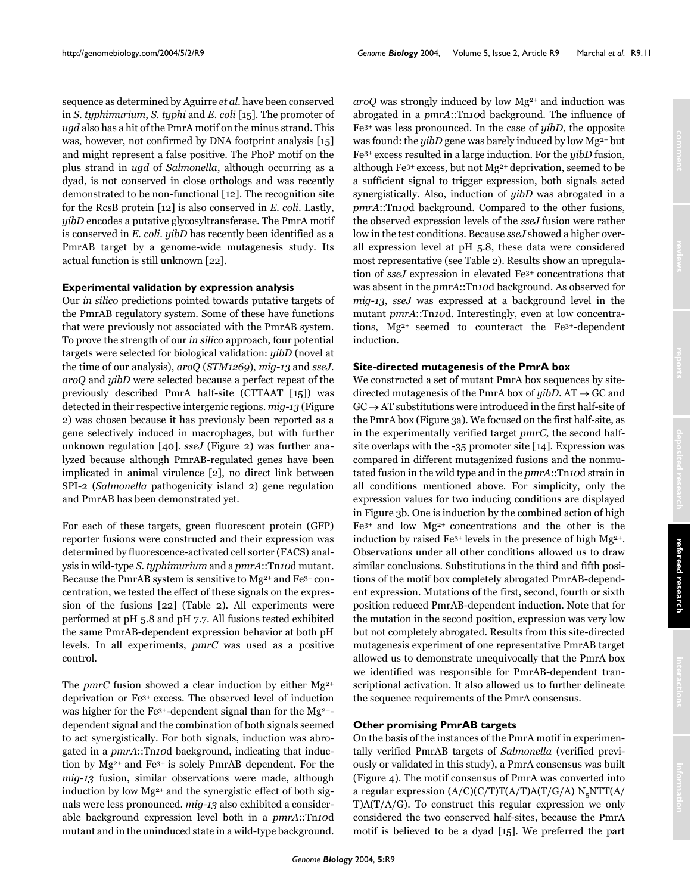sequence as determined by Aguirre *et al.* have been conserved in *S. typhimurium*, *S. typhi* and *E. coli* [\[15](#page-18-5)]. The promoter of *ugd* also has a hit of the PmrA motif on the minus strand. This was, however, not confirmed by DNA footprint analysis [\[15\]](#page-18-5) and might represent a false positive. The PhoP motif on the plus strand in *ugd* of *Salmonella*, although occurring as a dyad, is not conserved in close orthologs and was recently demonstrated to be non-functional [[12\]](#page-18-4). The recognition site for the RcsB protein [[12\]](#page-18-4) is also conserved in *E. coli*. Lastly, *yibD* encodes a putative glycosyltransferase. The PmrA motif is conserved in *E. coli*. *yibD* has recently been identified as a PmrAB target by a genome-wide mutagenesis study. Its actual function is still unknown [\[22](#page-18-12)].

#### **Experimental validation by expression analysis**

Our *in silico* predictions pointed towards putative targets of the PmrAB regulatory system. Some of these have functions that were previously not associated with the PmrAB system. To prove the strength of our *in silico* approach, four potential targets were selected for biological validation: *yibD* (novel at the time of our analysis), *aroQ* (*STM1269*), *mig-13* and *sseJ*. *aroQ* and *yibD* were selected because a perfect repeat of the previously described PmrA half-site (CTTAAT [\[15\]](#page-18-5)) was detected in their respective intergenic regions. *mig-13* (Figure [2](#page-7-0)) was chosen because it has previously been reported as a gene selectively induced in macrophages, but with further unknown regulation [40]. *sseJ* (Figure [2](#page-7-0)) was further analyzed because although PmrAB-regulated genes have been implicated in animal virulence [\[2](#page-18-7)], no direct link between SPI-2 (*Salmonella* pathogenicity island 2) gene regulation and PmrAB has been demonstrated yet.

For each of these targets, green fluorescent protein (GFP) reporter fusions were constructed and their expression was determined by fluorescence-activated cell sorter (FACS) analysis in wild-type *S. typhimurium* and a *pmrA*::Tn*10*d mutant. Because the PmrAB system is sensitive to Mg2+ and Fe3+ concentration, we tested the effect of these signals on the expression of the fusions [\[22](#page-18-12)] (Table [2\)](#page-11-0). All experiments were performed at pH 5.8 and pH 7.7. All fusions tested exhibited the same PmrAB-dependent expression behavior at both pH levels. In all experiments, *pmrC* was used as a positive control.

The *pmrC* fusion showed a clear induction by either Mg<sup>2+</sup> deprivation or Fe3+ excess. The observed level of induction was higher for the Fe3+-dependent signal than for the Mg2+ dependent signal and the combination of both signals seemed to act synergistically. For both signals, induction was abrogated in a *pmrA*::Tn*10*d background, indicating that induction by Mg2+ and Fe3+ is solely PmrAB dependent. For the *mig-13* fusion, similar observations were made, although induction by low  $Mg^{2+}$  and the synergistic effect of both signals were less pronounced. *mig-13* also exhibited a considerable background expression level both in a *pmrA*::Tn*10*d mutant and in the uninduced state in a wild-type background.

*aroQ* was strongly induced by low Mg2+ and induction was abrogated in a *pmrA*::Tn*10*d background. The influence of Fe3+ was less pronounced. In the case of *yibD*, the opposite was found: the *yibD* gene was barely induced by low Mg2+ but Fe3+ excess resulted in a large induction. For the *yibD* fusion, although Fe3+ excess, but not Mg2+ deprivation, seemed to be a sufficient signal to trigger expression, both signals acted synergistically. Also, induction of *yibD* was abrogated in a *pmrA*::Tn*10*d background. Compared to the other fusions, the observed expression levels of the *sseJ* fusion were rather low in the test conditions. Because *sseJ* showed a higher overall expression level at pH 5.8, these data were considered most representative (see Table [2](#page-11-0)). Results show an upregulation of *sseJ* expression in elevated Fe3+ concentrations that was absent in the *pmrA*::Tn*10*d background. As observed for *mig-13*, *sseJ* was expressed at a background level in the mutant *pmrA*::Tn*10*d. Interestingly, even at low concentrations, Mg2+ seemed to counteract the Fe3+-dependent induction.

## **Site-directed mutagenesis of the PmrA box**

We constructed a set of mutant PmrA box sequences by sitedirected mutagenesis of the PmrA box of *yibD*.  $AT \rightarrow GC$  and  $GC \rightarrow AT$  substitutions were introduced in the first half-site of the PmrA box (Figure [3a](#page-12-0)). We focused on the first half-site, as in the experimentally verified target *pmrC*, the second halfsite overlaps with the -35 promoter site [14]. Expression was compared in different mutagenized fusions and the nonmutated fusion in the wild type and in the *pmrA*::Tn*10*d strain in all conditions mentioned above. For simplicity, only the expression values for two inducing conditions are displayed in Figure [3b](#page-12-0). One is induction by the combined action of high Fe3+ and low Mg2+ concentrations and the other is the induction by raised Fe<sup>3+</sup> levels in the presence of high  $Mg^{2+}$ . Observations under all other conditions allowed us to draw similar conclusions. Substitutions in the third and fifth positions of the motif box completely abrogated PmrAB-dependent expression. Mutations of the first, second, fourth or sixth position reduced PmrAB-dependent induction. Note that for the mutation in the second position, expression was very low but not completely abrogated. Results from this site-directed mutagenesis experiment of one representative PmrAB target allowed us to demonstrate unequivocally that the PmrA box we identified was responsible for PmrAB-dependent transcriptional activation. It also allowed us to further delineate the sequence requirements of the PmrA consensus.

## **Other promising PmrAB targets**

On the basis of the instances of the PmrA motif in experimentally verified PmrAB targets of *Salmonella* (verified previously or validated in this study), a PmrA consensus was built (Figure [4\)](#page-13-0). The motif consensus of PmrA was converted into a regular expression  $(A/C)(C/T)T(A/T)A(T/G/A) N<sub>5</sub>NTT(A/A)$ T)A(T/A/G). To construct this regular expression we only considered the two conserved half-sites, because the PmrA motif is believed to be a dyad [[15\]](#page-18-5). We preferred the part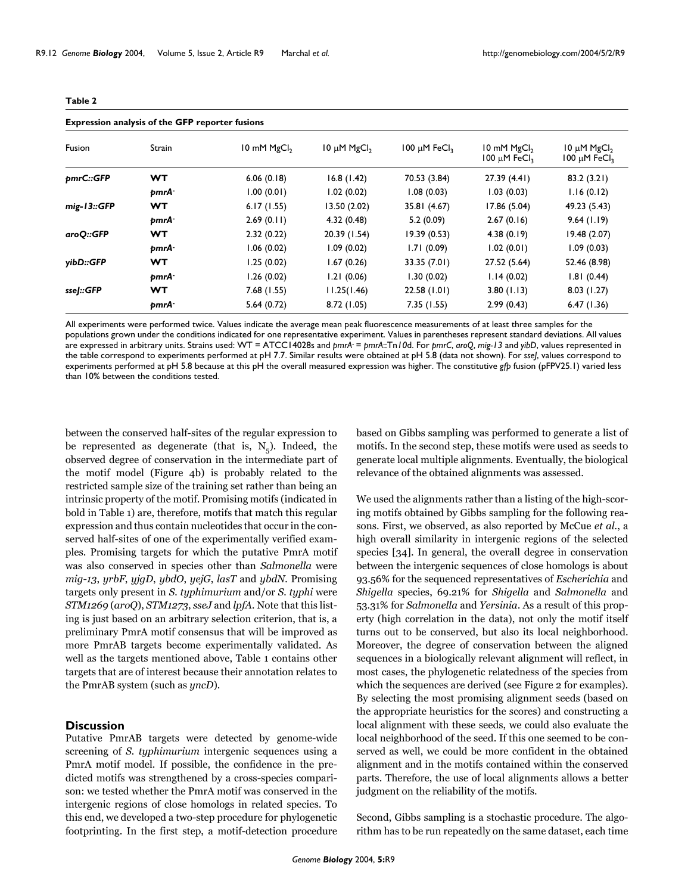| <b>Expression analysis of the GFP reporter fusions</b> |           |               |                  |                               |                                                |                                                   |  |  |
|--------------------------------------------------------|-----------|---------------|------------------|-------------------------------|------------------------------------------------|---------------------------------------------------|--|--|
| Fusion                                                 | Strain    | 10 mM $MgCl2$ | $10 \mu M MgCl2$ | $100 \mu M$ FeCl <sub>3</sub> | 10 mM $MgCl2$<br>100 $\mu$ M FeCl <sub>3</sub> | $10 \mu M MgCl2$<br>100 $\mu$ M FeCl <sub>3</sub> |  |  |
| pmrC::GFP                                              | WT        | 6.06(0.18)    | 16.8(1.42)       | 70.53 (3.84)                  | 27.39 (4.41)                                   | 83.2(3.21)                                        |  |  |
|                                                        | pmrA-     | 1.00(0.01)    | 1.02(0.02)       | 1.08(0.03)                    | 1.03(0.03)                                     | 1.16(0.12)                                        |  |  |
| $mig-13::GFP$                                          | <b>WT</b> | 6.17(1.55)    | 13.50(2.02)      | 35.81 (4.67)                  | 17.86 (5.04)                                   | 49.23 (5.43)                                      |  |  |
|                                                        | pmrA-     | 2.69(0.11)    | 4.32(0.48)       | 5.2(0.09)                     | 2.67(0.16)                                     | 9.64(1.19)                                        |  |  |
| aroQ::GFP                                              | WT        | 2.32(0.22)    | 20.39 (1.54)     | 19.39(0.53)                   | 4.38(0.19)                                     | 19.48(2.07)                                       |  |  |
|                                                        | pmrA-     | 1.06(0.02)    | 1.09(0.02)       | 1.71(0.09)                    | 1.02(0.01)                                     | 1.09(0.03)                                        |  |  |
| yibD::GFP                                              | WT        | 1.25(0.02)    | 1.67(0.26)       | 33.35 (7.01)                  | 27.52 (5.64)                                   | 52.46 (8.98)                                      |  |  |
|                                                        | pmrA-     | 1.26(0.02)    | 1.21(0.06)       | 1.30(0.02)                    | 1.14(0.02)                                     | 1.81(0.44)                                        |  |  |
| sseJ::GFP                                              | <b>WT</b> | 7.68(1.55)    | 11.25(1.46)      | 22.58 (1.01)                  | 3.80(1.13)                                     | 8.03(1.27)                                        |  |  |
|                                                        | pmrA-     | 5.64(0.72)    | 8.72 (1.05)      | 7.35 (1.55)                   | 2.99(0.43)                                     | 6.47(1.36)                                        |  |  |

<span id="page-11-0"></span>**Table 2**

All experiments were performed twice. Values indicate the average mean peak fluorescence measurements of at least three samples for the populations grown under the conditions indicated for one representative experiment. Values in parentheses represent standard deviations. All values are expressed in arbitrary units. Strains used: WT = ATCC14028s and *pmrA*- = *pmrA*::Tn*10*d. For *pmrC*, *aroQ*, *mig-13* and *yibD*, values represented in the table correspond to experiments performed at pH 7.7. Similar results were obtained at pH 5.8 (data not shown). For *sseJ*, values correspond to experiments performed at pH 5.8 because at this pH the overall measured expression was higher. The constitutive *gfp* fusion (pFPV25.1) varied less than 10% between the conditions tested.

between the conserved half-sites of the regular expression to be represented as degenerate (that is,  $N_5$ ). Indeed, the observed degree of conservation in the intermediate part of the motif model (Figure [4b](#page-13-0)) is probably related to the restricted sample size of the training set rather than being an intrinsic property of the motif. Promising motifs (indicated in bold in Table 1) are, therefore, motifs that match this regular expression and thus contain nucleotides that occur in the conserved half-sites of one of the experimentally verified examples. Promising targets for which the putative PmrA motif was also conserved in species other than *Salmonella* were *mig-13*, *yrbF*, *yjgD*, *ybdO*, *yejG*, *lasT* and *ybdN.* Promising targets only present in *S. typhimurium* and/or *S. typhi* were *STM1269* (*aroQ*), *STM1273*, *sseJ* and *lpfA.* Note that this listing is just based on an arbitrary selection criterion, that is, a preliminary PmrA motif consensus that will be improved as more PmrAB targets become experimentally validated. As well as the targets mentioned above, Table 1 contains other targets that are of interest because their annotation relates to the PmrAB system (such as *yncD*).

#### **Discussion**

Putative PmrAB targets were detected by genome-wide screening of *S. typhimurium* intergenic sequences using a PmrA motif model. If possible, the confidence in the predicted motifs was strengthened by a cross-species comparison: we tested whether the PmrA motif was conserved in the intergenic regions of close homologs in related species. To this end, we developed a two-step procedure for phylogenetic footprinting. In the first step, a motif-detection procedure

based on Gibbs sampling was performed to generate a list of motifs. In the second step, these motifs were used as seeds to generate local multiple alignments. Eventually, the biological relevance of the obtained alignments was assessed.

We used the alignments rather than a listing of the high-scoring motifs obtained by Gibbs sampling for the following reasons. First, we observed, as also reported by McCue *et al.*, a high overall similarity in intergenic regions of the selected species [34]. In general, the overall degree in conservation between the intergenic sequences of close homologs is about 93.56% for the sequenced representatives of *Escherichia* and *Shigella* species, 69.21% for *Shigella* and *Salmonella* and 53.31% for *Salmonella* and *Yersinia*. As a result of this property (high correlation in the data), not only the motif itself turns out to be conserved, but also its local neighborhood. Moreover, the degree of conservation between the aligned sequences in a biologically relevant alignment will reflect, in most cases, the phylogenetic relatedness of the species from which the sequences are derived (see Figure [2](#page-7-0) for examples). By selecting the most promising alignment seeds (based on the appropriate heuristics for the scores) and constructing a local alignment with these seeds, we could also evaluate the local neighborhood of the seed. If this one seemed to be conserved as well, we could be more confident in the obtained alignment and in the motifs contained within the conserved parts. Therefore, the use of local alignments allows a better judgment on the reliability of the motifs.

Second, Gibbs sampling is a stochastic procedure. The algorithm has to be run repeatedly on the same dataset, each time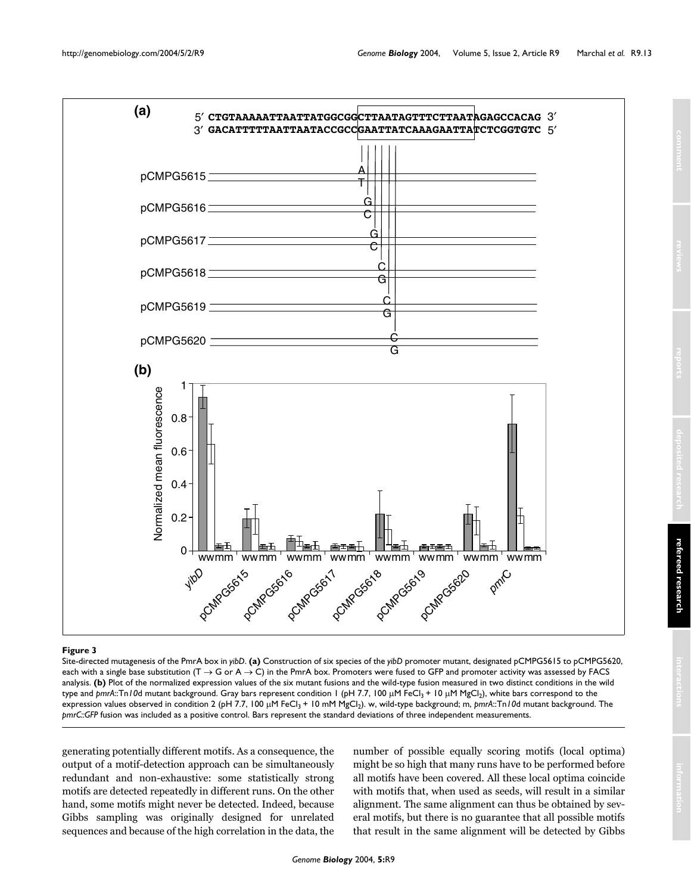<span id="page-12-0"></span>

## **Figure 3**

Site-directed mutagenesis of the PmrA box in *yibD*. **(a)** Construction of six species of the *yibD* promoter mutant, designated pCMPG5615 to pCMPG5620, each with a single base substitution (T  $\rightarrow$  G or A  $\rightarrow$  C) in the PmrA box. Promoters were fused to GFP and promoter activity was assessed by FACS analysis. **(b)** Plot of the normalized expression values of the six mutant fusions and the wild-type fusion measured in two distinct conditions in the wild type and pmrA::Tn*10*d mutant background. Gray bars represent condition 1 (pH 7.7, 100 µM FeCl<sub>3</sub> + 10 µM MgCl<sub>2</sub>), white bars correspond to the expression values observed in condition 2 (pH 7.7, 100 µM FeCl<sub>3</sub> + 10 mM MgCl<sub>2</sub>). w, wild-type background; m, pmrA::Tn / 0d mutant background. The *pmrC::GFP* fusion was included as a positive control. Bars represent the standard deviations of three independent measurements.

generating potentially different motifs. As a consequence, the output of a motif-detection approach can be simultaneously redundant and non-exhaustive: some statistically strong motifs are detected repeatedly in different runs. On the other hand, some motifs might never be detected. Indeed, because Gibbs sampling was originally designed for unrelated sequences and because of the high correlation in the data, the number of possible equally scoring motifs (local optima) might be so high that many runs have to be performed before all motifs have been covered. All these local optima coincide with motifs that, when used as seeds, will result in a similar alignment. The same alignment can thus be obtained by several motifs, but there is no guarantee that all possible motifs that result in the same alignment will be detected by Gibbs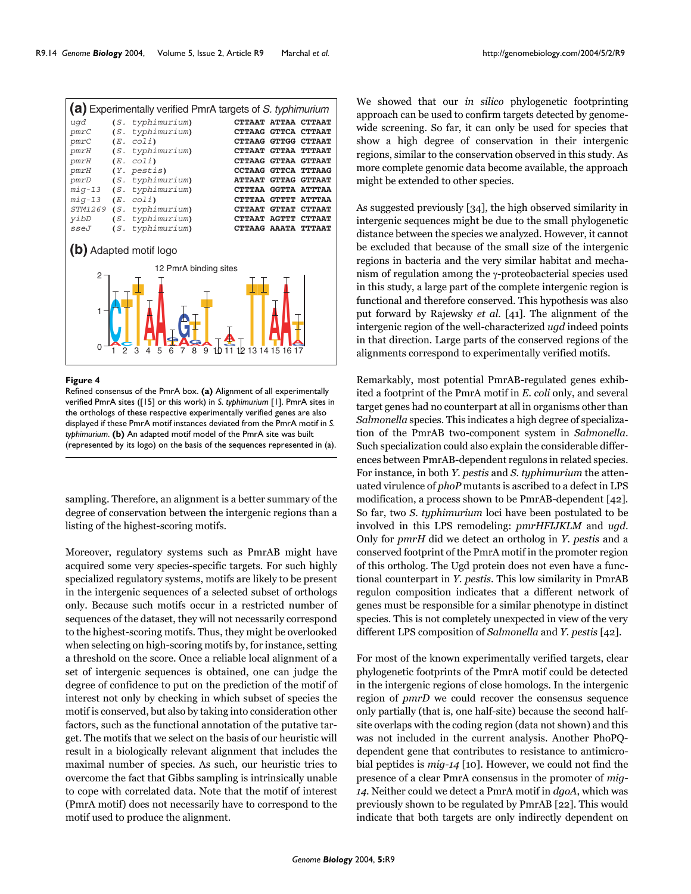<span id="page-13-0"></span>

#### **Figure 4**

Refined consensus of the PmrA box. **(a)** Alignment of all experimentally verified PmrA sites ([[15\]](#page-18-5) or this work) in *S. typhimurium* [1]. PmrA sites in the orthologs of these respective experimentally verified genes are also displayed if these PmrA motif instances deviated from the PmrA motif in *S. typhimurium*. **(b)** An adapted motif model of the PmrA site was built (represented by its logo) on the basis of the sequences represented in (a).

sampling. Therefore, an alignment is a better summary of the degree of conservation between the intergenic regions than a listing of the highest-scoring motifs.

Moreover, regulatory systems such as PmrAB might have acquired some very species-specific targets. For such highly specialized regulatory systems, motifs are likely to be present in the intergenic sequences of a selected subset of orthologs only. Because such motifs occur in a restricted number of sequences of the dataset, they will not necessarily correspond to the highest-scoring motifs. Thus, they might be overlooked when selecting on high-scoring motifs by, for instance, setting a threshold on the score. Once a reliable local alignment of a set of intergenic sequences is obtained, one can judge the degree of confidence to put on the prediction of the motif of interest not only by checking in which subset of species the motif is conserved, but also by taking into consideration other factors, such as the functional annotation of the putative target. The motifs that we select on the basis of our heuristic will result in a biologically relevant alignment that includes the maximal number of species. As such, our heuristic tries to overcome the fact that Gibbs sampling is intrinsically unable to cope with correlated data. Note that the motif of interest (PmrA motif) does not necessarily have to correspond to the motif used to produce the alignment.

We showed that our *in silico* phylogenetic footprinting approach can be used to confirm targets detected by genomewide screening. So far, it can only be used for species that show a high degree of conservation in their intergenic regions, similar to the conservation observed in this study. As more complete genomic data become available, the approach might be extended to other species.

As suggested previously [34], the high observed similarity in intergenic sequences might be due to the small phylogenetic distance between the species we analyzed. However, it cannot be excluded that because of the small size of the intergenic regions in bacteria and the very similar habitat and mechanism of regulation among the γ-proteobacterial species used in this study, a large part of the complete intergenic region is functional and therefore conserved. This hypothesis was also put forward by Rajewsky *et al.* [41]. The alignment of the intergenic region of the well-characterized *ugd* indeed points in that direction. Large parts of the conserved regions of the alignments correspond to experimentally verified motifs.

Remarkably, most potential PmrAB-regulated genes exhibited a footprint of the PmrA motif in *E. coli* only, and several target genes had no counterpart at all in organisms other than *Salmonella* species. This indicates a high degree of specialization of the PmrAB two-component system in *Salmonella*. Such specialization could also explain the considerable differences between PmrAB-dependent regulons in related species. For instance, in both *Y. pestis* and *S. typhimurium* the attenuated virulence of *phoP* mutants is ascribed to a defect in LPS modification, a process shown to be PmrAB-dependent [[42\]](#page-19-1). So far, two *S. typhimurium* loci have been postulated to be involved in this LPS remodeling: *pmrHFIJKLM* and *ugd*. Only for *pmrH* did we detect an ortholog in *Y. pestis* and a conserved footprint of the PmrA motif in the promoter region of this ortholog. The Ugd protein does not even have a functional counterpart in *Y. pestis*. This low similarity in PmrAB regulon composition indicates that a different network of genes must be responsible for a similar phenotype in distinct species. This is not completely unexpected in view of the very different LPS composition of *Salmonella* and *Y. pestis* [\[42](#page-19-1)].

For most of the known experimentally verified targets, clear phylogenetic footprints of the PmrA motif could be detected in the intergenic regions of close homologs. In the intergenic region of *pmrD* we could recover the consensus sequence only partially (that is, one half-site) because the second halfsite overlaps with the coding region (data not shown) and this was not included in the current analysis. Another PhoPQdependent gene that contributes to resistance to antimicrobial peptides is *mig-14* [[10](#page-18-2)]. However, we could not find the presence of a clear PmrA consensus in the promoter of *mig-14*. Neither could we detect a PmrA motif in *dgoA*, which was previously shown to be regulated by PmrAB [[22\]](#page-18-12). This would indicate that both targets are only indirectly dependent on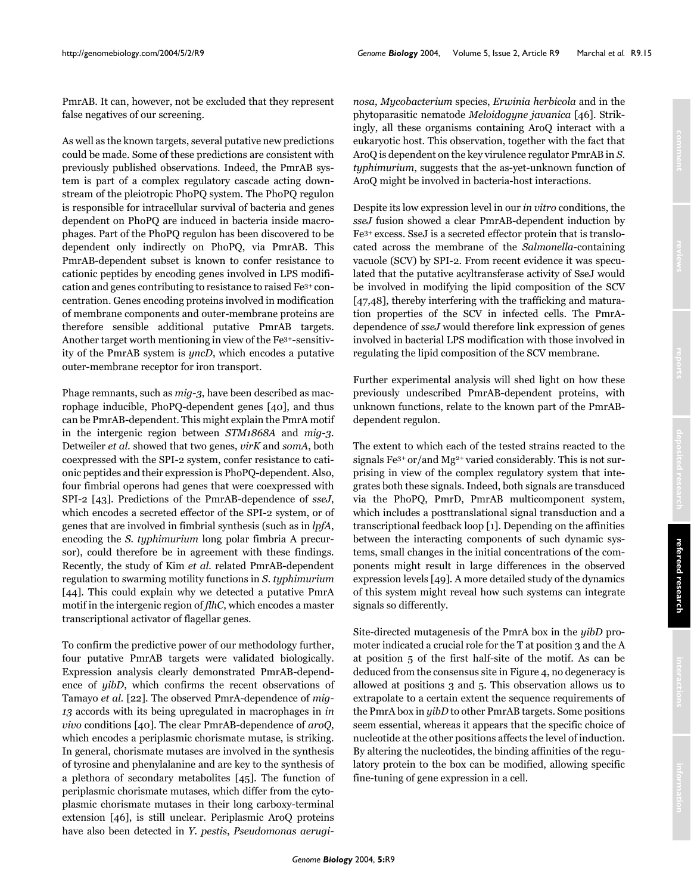PmrAB. It can, however, not be excluded that they represent false negatives of our screening.

As well as the known targets, several putative new predictions could be made. Some of these predictions are consistent with previously published observations. Indeed, the PmrAB system is part of a complex regulatory cascade acting downstream of the pleiotropic PhoPQ system. The PhoPQ regulon is responsible for intracellular survival of bacteria and genes dependent on PhoPQ are induced in bacteria inside macrophages. Part of the PhoPQ regulon has been discovered to be dependent only indirectly on PhoPQ, via PmrAB. This PmrAB-dependent subset is known to confer resistance to cationic peptides by encoding genes involved in LPS modification and genes contributing to resistance to raised Fe3+ concentration. Genes encoding proteins involved in modification of membrane components and outer-membrane proteins are therefore sensible additional putative PmrAB targets. Another target worth mentioning in view of the Fe3+-sensitivity of the PmrAB system is *yncD*, which encodes a putative outer-membrane receptor for iron transport.

Phage remnants, such as *mig-3*, have been described as macrophage inducible, PhoPQ-dependent genes [40], and thus can be PmrAB-dependent. This might explain the PmrA motif in the intergenic region between *STM1868A* and *mig-3*. Detweiler *et al.* showed that two genes, *virK* and *somA*, both coexpressed with the SPI-2 system, confer resistance to cationic peptides and their expression is PhoPQ-dependent. Also, four fimbrial operons had genes that were coexpressed with SPI-2 [[43\]](#page-19-2). Predictions of the PmrAB-dependence of *sseJ*, which encodes a secreted effector of the SPI-2 system, or of genes that are involved in fimbrial synthesis (such as in *lpfA*, encoding the *S. typhimurium* long polar fimbria A precursor), could therefore be in agreement with these findings. Recently, the study of Kim *et al.* related PmrAB-dependent regulation to swarming motility functions in *S. typhimurium* [\[44\]](#page-19-3). This could explain why we detected a putative PmrA motif in the intergenic region of *flhC*, which encodes a master transcriptional activator of flagellar genes.

To confirm the predictive power of our methodology further, four putative PmrAB targets were validated biologically. Expression analysis clearly demonstrated PmrAB-dependence of *yibD*, which confirms the recent observations of Tamayo *et al.* [[22\]](#page-18-12). The observed PmrA-dependence of *mig-13* accords with its being upregulated in macrophages in *in vivo* conditions [40]. The clear PmrAB-dependence of *aroQ*, which encodes a periplasmic chorismate mutase, is striking. In general, chorismate mutases are involved in the synthesis of tyrosine and phenylalanine and are key to the synthesis of a plethora of secondary metabolites [45]. The function of periplasmic chorismate mutases, which differ from the cytoplasmic chorismate mutases in their long carboxy-terminal extension [[46](#page-19-4)], is still unclear. Periplasmic AroQ proteins have also been detected in *Y. pestis*, *Pseudomonas aerugi-* *nosa*, *Mycobacterium* species, *Erwinia herbicola* and in the phytoparasitic nematode *Meloidogyne javanica* [\[46\]](#page-19-4). Strikingly, all these organisms containing AroQ interact with a eukaryotic host. This observation, together with the fact that AroQ is dependent on the key virulence regulator PmrAB in *S. typhimurium*, suggests that the as-yet-unknown function of AroQ might be involved in bacteria-host interactions.

Despite its low expression level in our *in vitro* conditions, the *sseJ* fusion showed a clear PmrAB-dependent induction by Fe3+ excess. SseJ is a secreted effector protein that is translocated across the membrane of the *Salmonella*-containing vacuole (SCV) by SPI-2. From recent evidence it was speculated that the putative acyltransferase activity of SseJ would be involved in modifying the lipid composition of the SCV [\[47](#page-19-5),[48\]](#page-19-6), thereby interfering with the trafficking and maturation properties of the SCV in infected cells. The PmrAdependence of *sseJ* would therefore link expression of genes involved in bacterial LPS modification with those involved in regulating the lipid composition of the SCV membrane.

Further experimental analysis will shed light on how these previously undescribed PmrAB-dependent proteins, with unknown functions, relate to the known part of the PmrABdependent regulon.

The extent to which each of the tested strains reacted to the signals Fe3+ or/and Mg2+ varied considerably. This is not surprising in view of the complex regulatory system that integrates both these signals. Indeed, both signals are transduced via the PhoPQ, PmrD, PmrAB multicomponent system, which includes a posttranslational signal transduction and a transcriptional feedback loop [1]. Depending on the affinities between the interacting components of such dynamic systems, small changes in the initial concentrations of the components might result in large differences in the observed expression levels [49]. A more detailed study of the dynamics of this system might reveal how such systems can integrate signals so differently.

Site-directed mutagenesis of the PmrA box in the *yibD* promoter indicated a crucial role for the T at position 3 and the A at position 5 of the first half-site of the motif. As can be deduced from the consensus site in Figure [4,](#page-13-0) no degeneracy is allowed at positions 3 and 5. This observation allows us to extrapolate to a certain extent the sequence requirements of the PmrA box in *yibD* to other PmrAB targets. Some positions seem essential, whereas it appears that the specific choice of nucleotide at the other positions affects the level of induction. By altering the nucleotides, the binding affinities of the regulatory protein to the box can be modified, allowing specific fine-tuning of gene expression in a cell.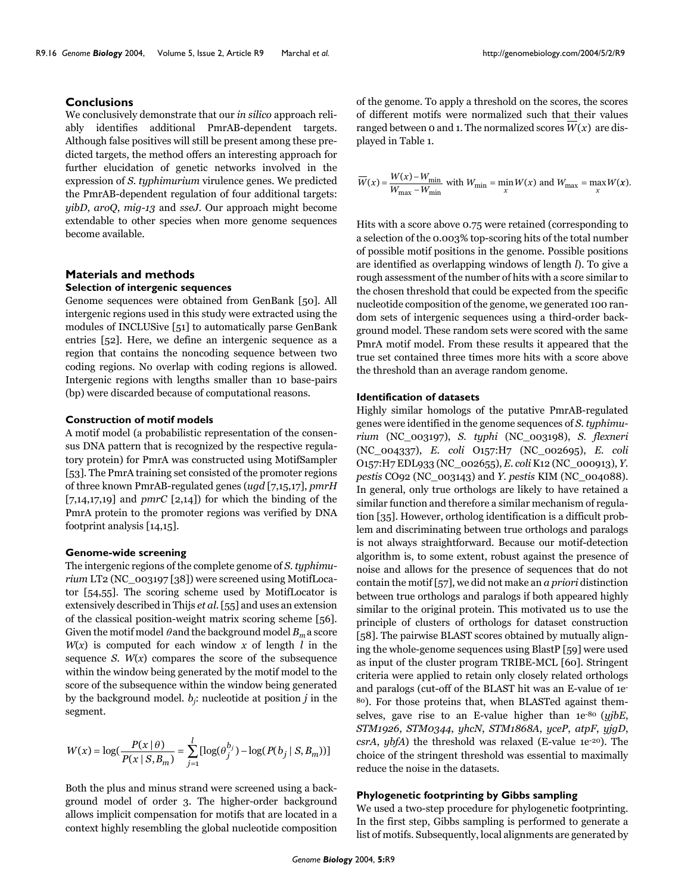## **Conclusions**

We conclusively demonstrate that our *in silico* approach reliably identifies additional PmrAB-dependent targets. Although false positives will still be present among these predicted targets, the method offers an interesting approach for further elucidation of genetic networks involved in the expression of *S. typhimurium* virulence genes. We predicted the PmrAB-dependent regulation of four additional targets: *yibD*, *aroQ*, *mig-13* and *sseJ*. Our approach might become extendable to other species when more genome sequences become available.

## **Materials and methods Selection of intergenic sequences**

Genome sequences were obtained from GenBank [50]. All intergenic regions used in this study were extracted using the modules of INCLUSive [51] to automatically parse GenBank entries [52]. Here, we define an intergenic sequence as a region that contains the noncoding sequence between two coding regions. No overlap with coding regions is allowed. Intergenic regions with lengths smaller than 10 base-pairs (bp) were discarded because of computational reasons.

#### **Construction of motif models**

A motif model (a probabilistic representation of the consensus DNA pattern that is recognized by the respective regulatory protein) for PmrA was constructed using MotifSampler [53]. The PmrA training set consisted of the promoter regions of three known PmrAB-regulated genes (*ugd* [\[7,](#page-18-14)[15,](#page-18-5)17], *pmrH* [\[7,](#page-18-14)14,17[,19](#page-18-9)] and *pmrC* [[2](#page-18-7),14]) for which the binding of the PmrA protein to the promoter regions was verified by DNA footprint analysis [14[,15\]](#page-18-5).

#### **Genome-wide screening**

The intergenic regions of the complete genome of *S. typhimurium* LT2 (NC\_003197 [\[38\]](#page-19-0)) were screened using MotifLocator [54,55]. The scoring scheme used by MotifLocator is extensively described in Thijs *et al.* [55] and uses an extension of the classical position-weight matrix scoring scheme [56]. Given the motif model  $\theta$  and the background model  $B_m$  a score  $W(x)$  is computed for each window  $x$  of length  $l$  in the sequence *S*. *W*(*x*) compares the score of the subsequence within the window being generated by the motif model to the score of the subsequence within the window being generated by the background model. *bj* : nucleotide at position *j* in the segment.

$$
W(x) = \log(\frac{P(x | \theta)}{P(x | S, B_m)}) = \sum_{j=1}^{l} [\log(\theta_j^{b_j}) - \log(P(b_j | S, B_m))]
$$

Both the plus and minus strand were screened using a background model of order 3. The higher-order background allows implicit compensation for motifs that are located in a context highly resembling the global nucleotide composition

of the genome. To apply a threshold on the scores, the scores of different motifs were normalized such that their values ranged between  $o$  and  $1$ . The normalized scores  $W(x)$  are displayed in Table 1.

$$
\overline{W}(x) = \frac{W(x) - W_{\text{min}}}{W_{\text{max}} - W_{\text{min}}}
$$
 with  $W_{\text{min}} = \min_{x} W(x)$  and  $W_{\text{max}} = \max_{x} W(x)$ .

Hits with a score above 0.75 were retained (corresponding to a selection of the 0.003% top-scoring hits of the total number of possible motif positions in the genome. Possible positions are identified as overlapping windows of length *l*). To give a rough assessment of the number of hits with a score similar to the chosen threshold that could be expected from the specific nucleotide composition of the genome, we generated 100 random sets of intergenic sequences using a third-order background model. These random sets were scored with the same PmrA motif model. From these results it appeared that the true set contained three times more hits with a score above the threshold than an average random genome.

#### **Identification of datasets**

Highly similar homologs of the putative PmrAB-regulated genes were identified in the genome sequences of *S. typhimurium* (NC\_003197), *S. typhi* (NC\_003198), *S. flexneri* (NC\_004337), *E. coli* O157:H7 (NC\_002695), *E. coli* O157:H7 EDL933 (NC\_002655), *E. coli* K12 (NC\_000913), *Y. pestis* CO92 (NC\_003143) and *Y. pestis* KIM (NC\_004088). In general, only true orthologs are likely to have retained a similar function and therefore a similar mechanism of regulation [35]. However, ortholog identification is a difficult problem and discriminating between true orthologs and paralogs is not always straightforward. Because our motif-detection algorithm is, to some extent, robust against the presence of noise and allows for the presence of sequences that do not contain the motif [57], we did not make an *a priori* distinction between true orthologs and paralogs if both appeared highly similar to the original protein. This motivated us to use the principle of clusters of orthologs for dataset construction [58]. The pairwise BLAST scores obtained by mutually aligning the whole-genome sequences using BlastP [59] were used as input of the cluster program TRIBE-MCL [60]. Stringent criteria were applied to retain only closely related orthologs and paralogs (cut-off of the BLAST hit was an E-value of 1e-80). For those proteins that, when BLASTed against themselves, gave rise to an E-value higher than 1e-80 (*yjbE*, *STM1926*, *STM0344*, *yhcN*, *STM1868A*, *yceP*, *atpF*, *yjgD*, *csrA*, *ybfA*) the threshold was relaxed (E-value 1e<sup>-20</sup>). The choice of the stringent threshold was essential to maximally reduce the noise in the datasets.

## **Phylogenetic footprinting by Gibbs sampling**

We used a two-step procedure for phylogenetic footprinting. In the first step, Gibbs sampling is performed to generate a list of motifs. Subsequently, local alignments are generated by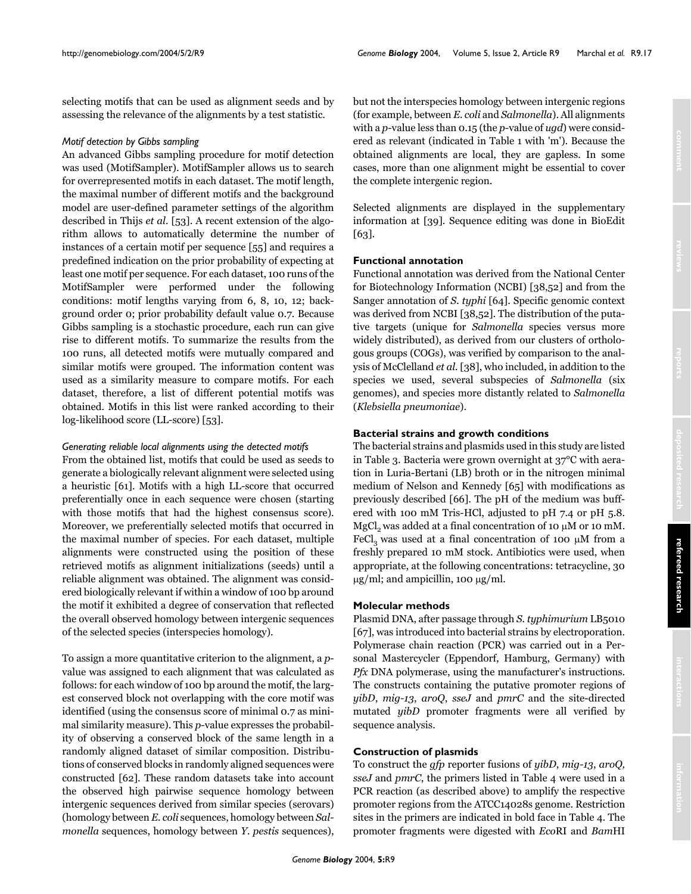selecting motifs that can be used as alignment seeds and by assessing the relevance of the alignments by a test statistic.

#### *Motif detection by Gibbs sampling*

An advanced Gibbs sampling procedure for motif detection was used (MotifSampler). MotifSampler allows us to search for overrepresented motifs in each dataset. The motif length, the maximal number of different motifs and the background model are user-defined parameter settings of the algorithm described in Thijs *et al.* [53]. A recent extension of the algorithm allows to automatically determine the number of instances of a certain motif per sequence [55] and requires a predefined indication on the prior probability of expecting at least one motif per sequence. For each dataset, 100 runs of the MotifSampler were performed under the following conditions: motif lengths varying from 6, 8, 10, 12; background order 0; prior probability default value 0.7. Because Gibbs sampling is a stochastic procedure, each run can give rise to different motifs. To summarize the results from the 100 runs, all detected motifs were mutually compared and similar motifs were grouped. The information content was used as a similarity measure to compare motifs. For each dataset, therefore, a list of different potential motifs was obtained. Motifs in this list were ranked according to their log-likelihood score (LL-score) [53].

#### *Generating reliable local alignments using the detected motifs*

From the obtained list, motifs that could be used as seeds to generate a biologically relevant alignment were selected using a heuristic [61]. Motifs with a high LL-score that occurred preferentially once in each sequence were chosen (starting with those motifs that had the highest consensus score). Moreover, we preferentially selected motifs that occurred in the maximal number of species. For each dataset, multiple alignments were constructed using the position of these retrieved motifs as alignment initializations (seeds) until a reliable alignment was obtained. The alignment was considered biologically relevant if within a window of 100 bp around the motif it exhibited a degree of conservation that reflected the overall observed homology between intergenic sequences of the selected species (interspecies homology).

To assign a more quantitative criterion to the alignment, a *p*value was assigned to each alignment that was calculated as follows: for each window of 100 bp around the motif, the largest conserved block not overlapping with the core motif was identified (using the consensus score of minimal 0.7 as minimal similarity measure). This *p*-value expresses the probability of observing a conserved block of the same length in a randomly aligned dataset of similar composition. Distributions of conserved blocks in randomly aligned sequences were constructed [62]. These random datasets take into account the observed high pairwise sequence homology between intergenic sequences derived from similar species (serovars) (homology between *E. coli* sequences, homology between *Salmonella* sequences, homology between *Y. pestis* sequences),

but not the interspecies homology between intergenic regions (for example, between *E. coli* and *Salmonella*). All alignments with a *p*-value less than 0.15 (the *p*-value of *ugd*) were considered as relevant (indicated in Table 1 with 'm'). Because the obtained alignments are local, they are gapless. In some cases, more than one alignment might be essential to cover the complete intergenic region.

Selected alignments are displayed in the supplementary information at [39]. Sequence editing was done in BioEdit [63].

## **Functional annotation**

Functional annotation was derived from the National Center for Biotechnology Information (NCBI) [[38](#page-19-0),52] and from the Sanger annotation of *S. typhi* [64]. Specific genomic context was derived from NCBI [\[38](#page-19-0),52]. The distribution of the putative targets (unique for *Salmonella* species versus more widely distributed), as derived from our clusters of orthologous groups (COGs), was verified by comparison to the analysis of McClelland *et al.* [\[38\]](#page-19-0), who included, in addition to the species we used, several subspecies of *Salmonella* (six genomes), and species more distantly related to *Salmonella* (*Klebsiella pneumoniae*).

## **Bacterial strains and growth conditions**

The bacterial strains and plasmids used in this study are listed in Table [3.](#page-17-0) Bacteria were grown overnight at 37°C with aeration in Luria-Bertani (LB) broth or in the nitrogen minimal medium of Nelson and Kennedy [\[65\]](#page-19-7) with modifications as previously described [[66\]](#page-19-8). The pH of the medium was buffered with 100 mM Tris-HCl, adjusted to pH 7.4 or pH 5.8. MgCl<sub>2</sub> was added at a final concentration of 10  $\mu$ M or 10 mM. FeCl<sub>3</sub> was used at a final concentration of 100  $\mu$ M from a freshly prepared 10 mM stock. Antibiotics were used, when appropriate, at the following concentrations: tetracycline, 30  $\mu$ g/ml; and ampicillin, 100  $\mu$ g/ml.

## **Molecular methods**

Plasmid DNA, after passage through *S. typhimurium* LB5010 [\[67](#page-19-9)], was introduced into bacterial strains by electroporation. Polymerase chain reaction (PCR) was carried out in a Personal Mastercycler (Eppendorf, Hamburg, Germany) with *Pfx* DNA polymerase, using the manufacturer's instructions. The constructs containing the putative promoter regions of *yibD*, *mig-13*, *aroQ*, *sseJ* and *pmrC* and the site-directed mutated *yibD* promoter fragments were all verified by sequence analysis.

## **Construction of plasmids**

To construct the *gfp* reporter fusions of *yibD*, *mig-13*, *aroQ, sseJ* and *pmrC*, the primers listed in Table 4 were used in a PCR reaction (as described above) to amplify the respective promoter regions from the ATCC14028s genome. Restriction sites in the primers are indicated in bold face in Table 4. The promoter fragments were digested with *Eco*RI and *Bam*HI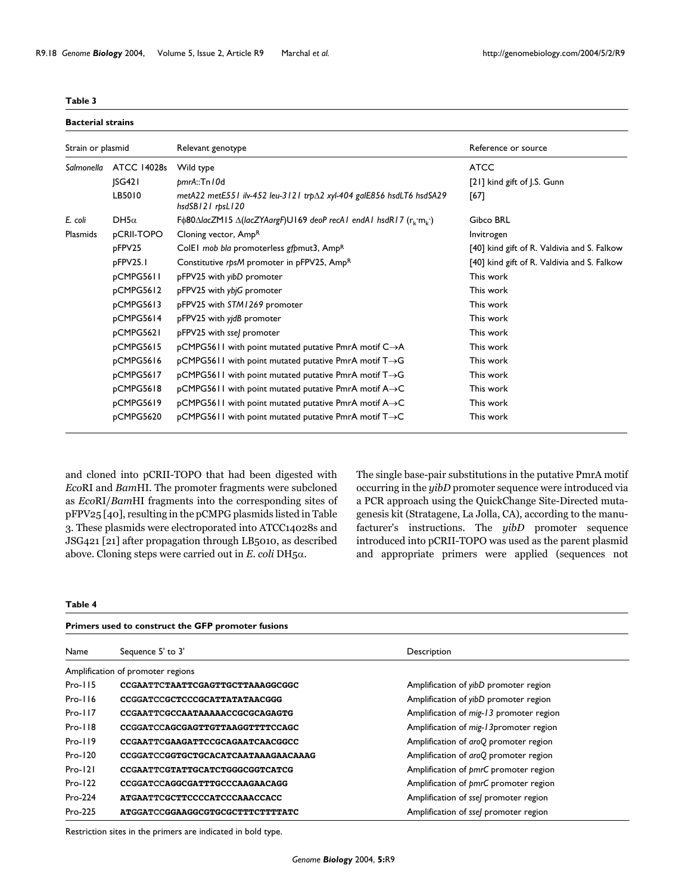<span id="page-17-0"></span>

|--|

| <b>Bacterial strains</b> |                    |                                                                                                                        |                                             |  |  |  |
|--------------------------|--------------------|------------------------------------------------------------------------------------------------------------------------|---------------------------------------------|--|--|--|
| Strain or plasmid        |                    | Relevant genotype                                                                                                      | Reference or source                         |  |  |  |
| Salmonella               | <b>ATCC 14028s</b> | Wild type                                                                                                              | <b>ATCC</b>                                 |  |  |  |
|                          | SG42               | pmrA::Tn / 0d                                                                                                          | [21] kind gift of J.S. Gunn                 |  |  |  |
|                          | LB5010             | metA22 metE551 ilv-452 leu-3121 trp∆2 xyl-404 galE856 hsdLT6 hsdSA29<br>hsdSB121 rpsL120                               | [67]                                        |  |  |  |
| E. coli                  | DH5 $\alpha$       | $F\phi$ 80 $\triangle$ lacZM15 $\triangle$ (lacZYAargF)U169 deoP recA1 endA1 hsdR17 (r <sub>k</sub> ·m <sub>k</sub> ·) | Gibco BRL                                   |  |  |  |
| Plasmids                 | pCRII-TOPO         | Cloning vector, Amp <sup>R</sup>                                                                                       | Invitrogen                                  |  |  |  |
|                          | pFPV25             | ColEI mob bla promoterless gfpmut3, AmpR                                                                               | [40] kind gift of R. Valdivia and S. Falkow |  |  |  |
|                          | pFPV25.1           | Constitutive rpsM promoter in pFPV25, AmpR                                                                             | [40] kind gift of R. Valdivia and S. Falkow |  |  |  |
|                          | pCMPG5611          | pFPV25 with yibD promoter                                                                                              | This work                                   |  |  |  |
|                          | pCMPG5612          | pFPV25 with ybjG promoter                                                                                              | This work                                   |  |  |  |
|                          | pCMPG5613          | pFPV25 with STM1269 promoter                                                                                           | This work                                   |  |  |  |
|                          | pCMPG5614          | pFPV25 with yjdB promoter                                                                                              | This work                                   |  |  |  |
|                          | pCMPG5621          | pFPV25 with ssel promoter                                                                                              | This work                                   |  |  |  |
|                          | pCMPG5615          | $p$ CMPG5611 with point mutated putative PmrA motif $C \rightarrow A$                                                  | This work                                   |  |  |  |
|                          | pCMPG5616          | $p$ CMPG5611 with point mutated putative PmrA motif $T\rightarrow G$                                                   | This work                                   |  |  |  |
|                          | pCMPG5617          | $p$ CMPG5611 with point mutated putative PmrA motif $T\rightarrow G$                                                   | This work                                   |  |  |  |
|                          | pCMPG5618          | $p$ CMPG5611 with point mutated putative PmrA motif A $\rightarrow$ C                                                  | This work                                   |  |  |  |
|                          | pCMPG5619          | $p$ CMPG5611 with point mutated putative PmrA motif A $\rightarrow$ C                                                  | This work                                   |  |  |  |
|                          | pCMPG5620          | $p$ CMPG5611 with point mutated putative PmrA motif $T\rightarrow C$                                                   | This work                                   |  |  |  |

and cloned into pCRII-TOPO that had been digested with *Eco*RI and *Bam*HI. The promoter fragments were subcloned as *Eco*RI/*Bam*HI fragments into the corresponding sites of pFPV25 [40], resulting in the pCMPG plasmids listed in Table [3.](#page-17-0) These plasmids were electroporated into ATCC14028s and JSG421 [[21\]](#page-18-11) after propagation through LB5010, as described above. Cloning steps were carried out in *E. coli* DH5α.

The single base-pair substitutions in the putative PmrA motif occurring in the *yibD* promoter sequence were introduced via a PCR approach using the QuickChange Site-Directed mutagenesis kit (Stratagene, La Jolla, CA), according to the manufacturer's instructions. The *yibD* promoter sequence introduced into pCRII-TOPO was used as the parent plasmid and appropriate primers were applied (sequences not

#### **Table 4**

| Primers used to construct the GFP promoter fusions |                                        |                                         |  |  |  |
|----------------------------------------------------|----------------------------------------|-----------------------------------------|--|--|--|
| Name                                               | Sequence 5' to 3'                      | Description                             |  |  |  |
|                                                    | Amplification of promoter regions      |                                         |  |  |  |
| $Pro-115$                                          | CCGAATTCTAATTCGAGTTGCTTAAAGGCGGC       | Amplification of yibD promoter region   |  |  |  |
| $Pro-116$                                          | CCGGATCCGCTCCCGCATTATATAACGGG          | Amplification of yibD promoter region   |  |  |  |
| $Pro-117$                                          | CCGAATTCGCCAATAAAAACCGCGCAGAGTG        | Amplification of mig-13 promoter region |  |  |  |
| Pro-118                                            | CCGGATCCAGCGAGTTGTTAAGGTTTTCCAGC       | Amplification of mig-13 promoter region |  |  |  |
| $Pro-119$                                          | CCGAATTCGAAGATTCCGCAGAATCAACGGCC       | Amplification of aroQ promoter region   |  |  |  |
| $Pro-120$                                          | CCGGATCCGGTGCTGCACATCAATAAAGAACAAAG    | Amplification of aroQ promoter region   |  |  |  |
| $Pro-121$                                          | <b>CCGAATTCGTATTGCATCTGGGCGGTCATCG</b> | Amplification of pmrC promoter region   |  |  |  |
| $Pro-122$                                          | CCGGATCCAGGCGATTTGCCCAAGAACAGG         | Amplification of pmrC promoter region   |  |  |  |
| Pro-224                                            | <b>ATGAATTCGCTTCCCCATCCCAAACCACC</b>   | Amplification of ssel promoter region   |  |  |  |
| Pro-225                                            | ATGGATCCGGAAGGCGTGCGCTTTCTTTTATC       | Amplification of ssel promoter region   |  |  |  |

Restriction sites in the primers are indicated in bold type.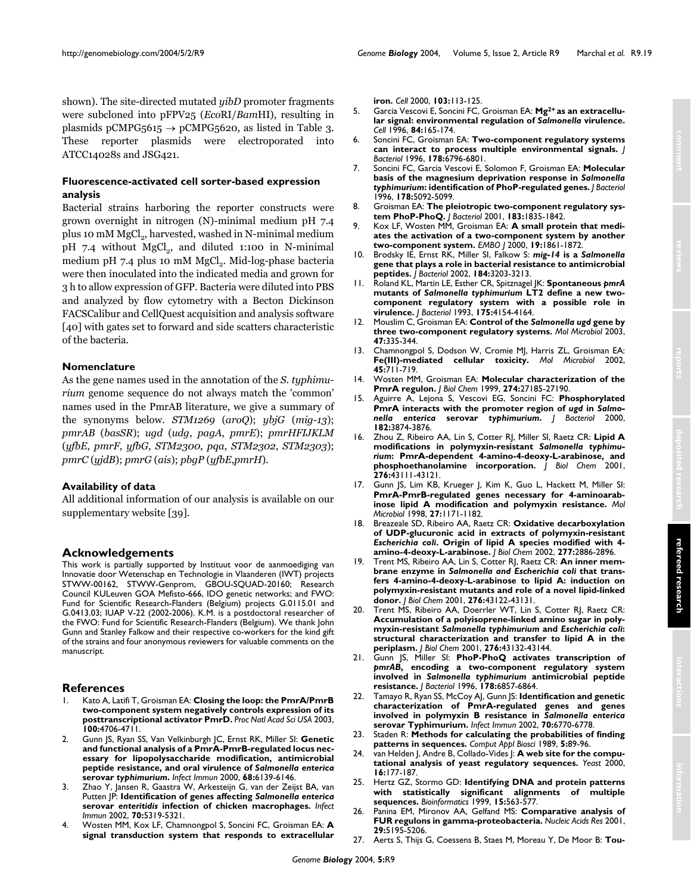shown). The site-directed mutated *yibD* promoter fragments were subcloned into pFPV25 (*Eco*RI/*Bam*HI), resulting in plasmids pCMPG5615  $\rightarrow$  pCMPG5620, as listed in Table [3.](#page-17-0) These reporter plasmids were electroporated into ATCC14028s and JSG421.

## **Fluorescence-activated cell sorter-based expression analysis**

Bacterial strains harboring the reporter constructs were grown overnight in nitrogen (N)-minimal medium pH 7.4 plus 10 mM  $MgCl<sub>2</sub>$ , harvested, washed in N-minimal medium pH 7.4 without  $MgCl<sub>2</sub>$ , and diluted 1:100 in N-minimal medium pH 7.4 plus 10 mM MgCl<sub>2</sub>. Mid-log-phase bacteria were then inoculated into the indicated media and grown for 3 h to allow expression of GFP. Bacteria were diluted into PBS and analyzed by flow cytometry with a Becton Dickinson FACSCalibur and CellQuest acquisition and analysis software [40] with gates set to forward and side scatters characteristic of the bacteria.

## **Nomenclature**

As the gene names used in the annotation of the *S. typhimurium* genome sequence do not always match the 'common' names used in the PmrAB literature, we give a summary of the synonyms below. *STM1269* (*aroQ*); *ybjG* (*mig-13*); *pmrAB* (*basSR*); *ugd* (*udg*, *pagA*, *pmrE*); *pmrHFIJKLM* (*yfbE*, *pmrF*, *yfbG*, *STM2300*, *pqa*, *STM2302*, *STM2303*); *pmrC* (*yjdB*); *pmrG* (*ais*); *pbgP* (*yfbE*,*pmrH*).

## **Availability of data**

All additional information of our analysis is available on our supplementary website [39].

## **Acknowledgements**

This work is partially supported by Instituut voor de aanmoediging van Innovatie door Wetenschap en Technologie in Vlaanderen (IWT) projects STWW-00162, STWW-Genprom, GBOU-SQUAD-20160; Research Council KULeuven GOA Mefisto-666, IDO genetic networks; and FWO: Fund for Scientific Research-Flanders (Belgium) projects G.0115.01 and G.0413.03; IUAP V-22 (2002-2006). K.M. is a postdoctoral researcher of the FWO: Fund for Scientific Research-Flanders (Belgium). We thank John Gunn and Stanley Falkow and their respective co-workers for the kind gift of the strains and four anonymous reviewers for valuable comments on the manuscript.

## **References**

- Kato A, Latifi T, Groisman EA: [Closing the loop: the PmrA/PmrB](http://www.ncbi.nlm.nih.gov/entrez/query.fcgi?cmd=Retrieve&db=PubMed&dopt=Abstract&list_uids=10.1073/pnas.0836837100) **[two-component system negatively controls expression of its](http://www.ncbi.nlm.nih.gov/entrez/query.fcgi?cmd=Retrieve&db=PubMed&dopt=Abstract&list_uids=10.1073/pnas.0836837100) [posttranscriptional activator PmrD.](http://www.ncbi.nlm.nih.gov/entrez/query.fcgi?cmd=Retrieve&db=PubMed&dopt=Abstract&list_uids=10.1073/pnas.0836837100)** *Proc Natl Acad Sci USA* 2003, **100:**4706-4711.
- <span id="page-18-7"></span>2. Gunn JS, Ryan SS, Van Velkinburgh JC, Ernst RK, Miller SI: **Genetic and functional analysis of a PmrA-PmrB-regulated locus necessary for lipopolysaccharide modification, antimicrobial peptide resistance, and oral virulence of** *Salmonella enterica* **serovar** *typhimurium***[.](http://www.ncbi.nlm.nih.gov/entrez/query.fcgi?cmd=Retrieve&db=PubMed&dopt=Abstract&list_uids=10.1128/IAI.68.11.6139-6146.2000)** *Infect Immun* 2000, **68:**6139-6146.
- <span id="page-18-0"></span>3. Zhao Y, Jansen R, Gaastra W, Arkesteijn G, van der Zeijst BA, van Putten JP: **Identification of genes affecting** *Salmonella enterica* **serovar** *enteritidis* **[infection of chicken macrophages.](http://www.ncbi.nlm.nih.gov/entrez/query.fcgi?cmd=Retrieve&db=PubMed&dopt=Abstract&list_uids=10.1128/IAI.70.9.5319-5321.2002)** *Infect Immun* 2002, **70:**5319-5321.
- 4. Wosten MM, Kox LF, Chamnongpol S, Soncini FC, Groisman EA: **[A](http://www.ncbi.nlm.nih.gov/entrez/query.fcgi?cmd=Retrieve&db=PubMed&dopt=Abstract&list_uids=11051552) [signal transduction system that responds to extracellular](http://www.ncbi.nlm.nih.gov/entrez/query.fcgi?cmd=Retrieve&db=PubMed&dopt=Abstract&list_uids=11051552)**

**[iron.](http://www.ncbi.nlm.nih.gov/entrez/query.fcgi?cmd=Retrieve&db=PubMed&dopt=Abstract&list_uids=11051552)** *Cell* 2000, **103:**113-125.

- <span id="page-18-1"></span>5. Garcia Vescovi E, Soncini FC, Groisman EA: **Mg2+ as an extracellular signal: environmental regulation of** *Salmonella* **[virulence.](http://www.ncbi.nlm.nih.gov/entrez/query.fcgi?cmd=Retrieve&db=PubMed&dopt=Abstract&list_uids=8548821)** *Cell* 1996, **84:**165-174.
- 6. Soncini FC, Groisman EA: **[Two-component regulatory systems](http://www.ncbi.nlm.nih.gov/entrez/query.fcgi?cmd=Retrieve&db=PubMed&dopt=Abstract&list_uids=178578) [can interact to process multiple environmental signals.](http://www.ncbi.nlm.nih.gov/entrez/query.fcgi?cmd=Retrieve&db=PubMed&dopt=Abstract&list_uids=178578)** *J Bacteriol* 1996, **178:**6796-6801.
- <span id="page-18-14"></span>7. Soncini FC, Garcia Vescovi E, Solomon F, Groisman EA: **Molecular basis of the magnesium deprivation response in** *Salmonella typhimurium***[: identification of PhoP-regulated genes.](http://www.ncbi.nlm.nih.gov/entrez/query.fcgi?cmd=Retrieve&db=PubMed&dopt=Abstract&list_uids=178303)** *J Bacteriol* 1996, **178:**5092-5099.
- 8. Groisman EA: **[The pleiotropic two-component regulatory sys](http://www.ncbi.nlm.nih.gov/entrez/query.fcgi?cmd=Retrieve&db=PubMed&dopt=Abstract&list_uids=10.1128/JB.183.6.1835-1842.2001)[tem PhoP-PhoQ.](http://www.ncbi.nlm.nih.gov/entrez/query.fcgi?cmd=Retrieve&db=PubMed&dopt=Abstract&list_uids=10.1128/JB.183.6.1835-1842.2001)** *J Bacteriol* 2001, **183:**1835-1842.
- Kox LF, Wosten MM, Groisman EA: [A small protein that medi](http://www.ncbi.nlm.nih.gov/entrez/query.fcgi?cmd=Retrieve&db=PubMed&dopt=Abstract&list_uids=10.1093/emboj/19.8.1861)**[ates the activation of a two-component system by another](http://www.ncbi.nlm.nih.gov/entrez/query.fcgi?cmd=Retrieve&db=PubMed&dopt=Abstract&list_uids=10.1093/emboj/19.8.1861) [two-component system.](http://www.ncbi.nlm.nih.gov/entrez/query.fcgi?cmd=Retrieve&db=PubMed&dopt=Abstract&list_uids=10.1093/emboj/19.8.1861)** *EMBO J* 2000, **19:**1861-1872.
- <span id="page-18-2"></span>10. Brodsky IE, Ernst RK, Miller SI, Falkow S: *mig-14* **is a** *Salmonella* **[gene that plays a role in bacterial resistance to antimicrobial](http://www.ncbi.nlm.nih.gov/entrez/query.fcgi?cmd=Retrieve&db=PubMed&dopt=Abstract&list_uids=10.1128/JB.184.12.3203-3213.2002) [peptides.](http://www.ncbi.nlm.nih.gov/entrez/query.fcgi?cmd=Retrieve&db=PubMed&dopt=Abstract&list_uids=10.1128/JB.184.12.3203-3213.2002)** *J Bacteriol* 2002, **184:**3203-3213.
- <span id="page-18-3"></span>11. Roland KL, Martin LE, Esther CR, Spitznagel JK: **Spontaneous** *pmrA* **mutants of** *Salmonella typhimurium* **[LT2 define a new two](http://www.ncbi.nlm.nih.gov/entrez/query.fcgi?cmd=Retrieve&db=PubMed&dopt=Abstract&list_uids=204845)[component regulatory system with a possible role in](http://www.ncbi.nlm.nih.gov/entrez/query.fcgi?cmd=Retrieve&db=PubMed&dopt=Abstract&list_uids=204845) [virulence.](http://www.ncbi.nlm.nih.gov/entrez/query.fcgi?cmd=Retrieve&db=PubMed&dopt=Abstract&list_uids=204845)** *J Bacteriol* 1993, **175:**4154-4164.
- <span id="page-18-4"></span>12. Mouslim C, Groisman EA: **Control of the** *Salmonella ugd* **[gene by](http://www.ncbi.nlm.nih.gov/entrez/query.fcgi?cmd=Retrieve&db=PubMed&dopt=Abstract&list_uids=10.1046/j.1365-2958.2003.03318.x) [three two-component regulatory systems.](http://www.ncbi.nlm.nih.gov/entrez/query.fcgi?cmd=Retrieve&db=PubMed&dopt=Abstract&list_uids=10.1046/j.1365-2958.2003.03318.x)** *Mol Microbiol* 2003, **47:**335-344.
- 13. Chamnongpol S, Dodson W, Cromie MJ, Harris ZL, Groisman EA: **[Fe\(III\)-mediated cellular toxicity.](http://www.ncbi.nlm.nih.gov/entrez/query.fcgi?cmd=Retrieve&db=PubMed&dopt=Abstract&list_uids=10.1046/j.1365-2958.2002.03041.x)** *Mol Microbiol* 2002, **45:**711-719.
- 14. Wosten MM, Groisman EA: **[Molecular characterization of the](http://www.ncbi.nlm.nih.gov/entrez/query.fcgi?cmd=Retrieve&db=PubMed&dopt=Abstract&list_uids=10.1074/jbc.274.38.27185) [PmrA regulon.](http://www.ncbi.nlm.nih.gov/entrez/query.fcgi?cmd=Retrieve&db=PubMed&dopt=Abstract&list_uids=10.1074/jbc.274.38.27185)** *J Biol Chem* 1999, **274:**27185-27190.
- <span id="page-18-5"></span>15. Aguirre A, Lejona S, Vescovi EG, Soncini FC: **Phosphorylated PmrA interacts with the promoter region of** *ugd* **in** *Salmonella enterica* **serovar** *typhimurium***[.](http://www.ncbi.nlm.nih.gov/entrez/query.fcgi?cmd=Retrieve&db=PubMed&dopt=Abstract&list_uids=10.1128/JB.182.13.3874-3876.2000)** *J Bacteriol* 2000, **182:**3874-3876.
- <span id="page-18-6"></span>16. Zhou Z, Ribeiro AA, Lin S, Cotter RJ, Miller SI, Raetz CR: **Lipid A modifications in polymyxin-resistant** *Salmonella typhimurium***[: PmrA-dependent 4-amino-4-deoxy-L-arabinose, and](http://www.ncbi.nlm.nih.gov/entrez/query.fcgi?cmd=Retrieve&db=PubMed&dopt=Abstract&list_uids=10.1074/jbc.M106960200) [phosphoethanolamine incorporation.](http://www.ncbi.nlm.nih.gov/entrez/query.fcgi?cmd=Retrieve&db=PubMed&dopt=Abstract&list_uids=10.1074/jbc.M106960200)** *J Biol Chem* 2001, **276:**43111-43121.
- 17. Gunn JS, Lim KB, Krueger J, Kim K, Guo L, Hackett M, Miller SI: **[PmrA-PmrB-regulated genes necessary for 4-aminoarab](http://www.ncbi.nlm.nih.gov/entrez/query.fcgi?cmd=Retrieve&db=PubMed&dopt=Abstract&list_uids=10.1046/j.1365-2958.1998.00757.x)[inose lipid A modification and polymyxin resistance.](http://www.ncbi.nlm.nih.gov/entrez/query.fcgi?cmd=Retrieve&db=PubMed&dopt=Abstract&list_uids=10.1046/j.1365-2958.1998.00757.x)** *Mol Microbiol* 1998, **27:**1171-1182.
- <span id="page-18-8"></span>18. Breazeale SD, Ribeiro AA, Raetz CR: **Oxidative decarboxylation of UDP-glucuronic acid in extracts of polymyxin-resistant** *Escherichia coli***[. Origin of lipid A species modified with 4](http://www.ncbi.nlm.nih.gov/entrez/query.fcgi?cmd=Retrieve&db=PubMed&dopt=Abstract&list_uids=10.1074/jbc.M109377200) [amino-4-deoxy-L-arabinose.](http://www.ncbi.nlm.nih.gov/entrez/query.fcgi?cmd=Retrieve&db=PubMed&dopt=Abstract&list_uids=10.1074/jbc.M109377200)** *J Biol Chem* 2002, **277:**2886-2896.
- <span id="page-18-9"></span>19. Trent MS, Ribeiro AA, Lin S, Cotter RJ, Raetz CR: **An inner membrane enzyme in** *Salmonella and Escherichia coli* **[that trans](http://www.ncbi.nlm.nih.gov/entrez/query.fcgi?cmd=Retrieve&db=PubMed&dopt=Abstract&list_uids=10.1074/jbc.M106961200)[fers 4-amino-4-deoxy-L-arabinose to lipid A: induction on](http://www.ncbi.nlm.nih.gov/entrez/query.fcgi?cmd=Retrieve&db=PubMed&dopt=Abstract&list_uids=10.1074/jbc.M106961200) polymyxin-resistant mutants and role of a novel lipid-linked [donor.](http://www.ncbi.nlm.nih.gov/entrez/query.fcgi?cmd=Retrieve&db=PubMed&dopt=Abstract&list_uids=10.1074/jbc.M106961200)** *J Biol Chem* 2001, **276:**43122-43131.
- <span id="page-18-10"></span>20. Trent MS, Ribeiro AA, Doerrler WT, Lin S, Cotter RJ, Raetz CR: **Accumulation of a polyisoprene-linked amino sugar in polymyxin-resistant** *Salmonella typhimurium* **and** *Escherichia coli***[:](http://www.ncbi.nlm.nih.gov/entrez/query.fcgi?cmd=Retrieve&db=PubMed&dopt=Abstract&list_uids=10.1074/jbc.M106962200) [structural characterization and transfer to lipid A in the](http://www.ncbi.nlm.nih.gov/entrez/query.fcgi?cmd=Retrieve&db=PubMed&dopt=Abstract&list_uids=10.1074/jbc.M106962200) [periplasm.](http://www.ncbi.nlm.nih.gov/entrez/query.fcgi?cmd=Retrieve&db=PubMed&dopt=Abstract&list_uids=10.1074/jbc.M106962200)** *J Biol Chem* 2001, **276:**43132-43144.
- <span id="page-18-11"></span>21. Gunn JS, Miller SI: **PhoP-PhoQ activates transcription of** *pmrAB***, encoding a two-component regulatory system involved in** *Salmonella typhimurium* **[antimicrobial peptide](http://www.ncbi.nlm.nih.gov/entrez/query.fcgi?cmd=Retrieve&db=PubMed&dopt=Abstract&list_uids=178586) [resistance.](http://www.ncbi.nlm.nih.gov/entrez/query.fcgi?cmd=Retrieve&db=PubMed&dopt=Abstract&list_uids=178586)** *J Bacteriol* 1996, **178:**6857-6864.
- <span id="page-18-12"></span>22. Tamayo R, Ryan SS, McCoy AJ, Gunn JS: **Identification and genetic characterization of PmrA-regulated genes and genes involved in polymyxin B resistance in** *Salmonella enterica* **[serovar Typhimurium.](http://www.ncbi.nlm.nih.gov/entrez/query.fcgi?cmd=Retrieve&db=PubMed&dopt=Abstract&list_uids=10.1128/IAI.70.12.6770-6778.2002)** *Infect Immun* 2002, **70:**6770-6778.
- 23. Staden R: **[Methods for calculating the probabilities of finding](http://www.ncbi.nlm.nih.gov/entrez/query.fcgi?cmd=Retrieve&db=PubMed&dopt=Abstract&list_uids=2720468) [patterns in sequences.](http://www.ncbi.nlm.nih.gov/entrez/query.fcgi?cmd=Retrieve&db=PubMed&dopt=Abstract&list_uids=2720468)** *Comput Appl Biosci* 1989, **5:**89-96.
- 24. van Helden J, Andre B, Collado-Vides |: [A web site for the compu](http://www.ncbi.nlm.nih.gov/entrez/query.fcgi?cmd=Retrieve&db=PubMed&dopt=Abstract&list_uids=10.1002/(SICI)1097-0061(20000130)16:2<177::AID-YEA516>3.0.CO;2-9)**[tational analysis of yeast regulatory sequences.](http://www.ncbi.nlm.nih.gov/entrez/query.fcgi?cmd=Retrieve&db=PubMed&dopt=Abstract&list_uids=10.1002/(SICI)1097-0061(20000130)16:2<177::AID-YEA516>3.0.CO;2-9)** *Yeast* 2000, **16:**177-187.
- 25. Hertz GZ, Stormo GD: **[Identifying DNA and protein patterns](http://www.ncbi.nlm.nih.gov/entrez/query.fcgi?cmd=Retrieve&db=PubMed&dopt=Abstract&list_uids=10.1093/bioinformatics/15.7.563) [with statistically significant alignments of multiple](http://www.ncbi.nlm.nih.gov/entrez/query.fcgi?cmd=Retrieve&db=PubMed&dopt=Abstract&list_uids=10.1093/bioinformatics/15.7.563) [sequences.](http://www.ncbi.nlm.nih.gov/entrez/query.fcgi?cmd=Retrieve&db=PubMed&dopt=Abstract&list_uids=10.1093/bioinformatics/15.7.563)** *Bioinformatics* 1999, **15:**563-577.
- 26. Panina EM, Mironov AA, Gelfand MS: **[Comparative analysis of](http://www.ncbi.nlm.nih.gov/entrez/query.fcgi?cmd=Retrieve&db=PubMed&dopt=Abstract&list_uids=10.1093/nar/29.24.5195) [FUR regulons in gamma-proteobacteria.](http://www.ncbi.nlm.nih.gov/entrez/query.fcgi?cmd=Retrieve&db=PubMed&dopt=Abstract&list_uids=10.1093/nar/29.24.5195)** *Nucleic Acids Res* 2001, **29:**5195-5206.
- <span id="page-18-13"></span>27. Aerts S, Thijs G, Coessens B, Staes M, Moreau Y, De Moor B: **Tou-**